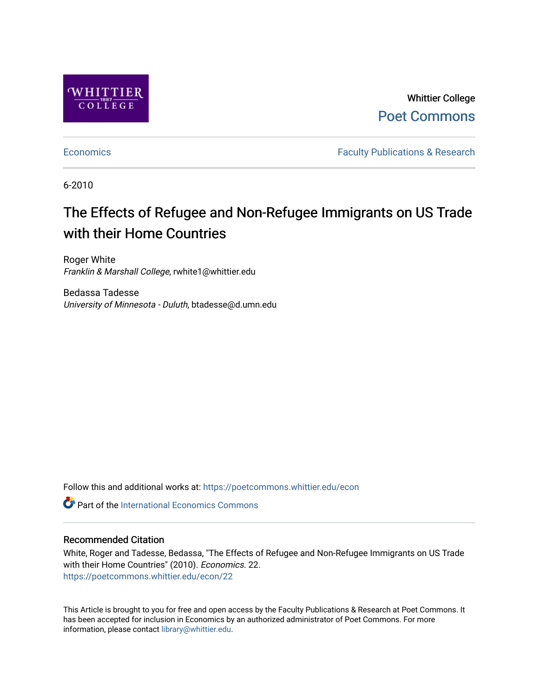

Whittier College [Poet Commons](https://poetcommons.whittier.edu/) 

[Economics](https://poetcommons.whittier.edu/econ) **Faculty Publications & Research** 

6-2010

# The Effects of Refugee and Non-Refugee Immigrants on US Trade with their Home Countries

Roger White Franklin & Marshall College, rwhite1@whittier.edu

Bedassa Tadesse University of Minnesota - Duluth, btadesse@d.umn.edu

Follow this and additional works at: [https://poetcommons.whittier.edu/econ](https://poetcommons.whittier.edu/econ?utm_source=poetcommons.whittier.edu%2Fecon%2F22&utm_medium=PDF&utm_campaign=PDFCoverPages)

**C** Part of the International Economics Commons

## Recommended Citation

White, Roger and Tadesse, Bedassa, "The Effects of Refugee and Non-Refugee Immigrants on US Trade with their Home Countries" (2010). Economics. 22. [https://poetcommons.whittier.edu/econ/22](https://poetcommons.whittier.edu/econ/22?utm_source=poetcommons.whittier.edu%2Fecon%2F22&utm_medium=PDF&utm_campaign=PDFCoverPages) 

This Article is brought to you for free and open access by the Faculty Publications & Research at Poet Commons. It has been accepted for inclusion in Economics by an authorized administrator of Poet Commons. For more information, please contact [library@whittier.edu.](mailto:library@whittier.edu)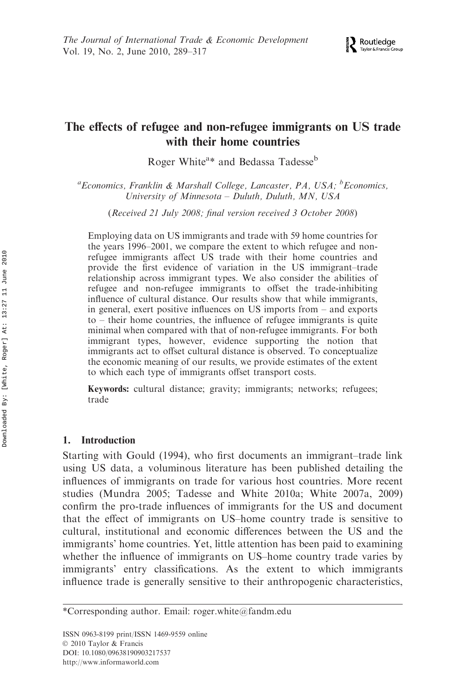# The effects of refugee and non-refugee immigrants on US trade with their home countries

Roger White<sup>a\*</sup> and Bedassa Tadesse<sup>b</sup>

<sup>a</sup> Economics, Franklin & Marshall College, Lancaster, PA, USA; <sup>b</sup> Economics, University of Minnesota – Duluth, Duluth, MN, USA

(Received 21 July 2008; final version received 3 October 2008)

Employing data on US immigrants and trade with 59 home countries for the years 1996–2001, we compare the extent to which refugee and nonrefugee immigrants affect US trade with their home countries and provide the first evidence of variation in the US immigrant–trade relationship across immigrant types. We also consider the abilities of refugee and non-refugee immigrants to offset the trade-inhibiting influence of cultural distance. Our results show that while immigrants, in general, exert positive influences on US imports from – and exports to – their home countries, the influence of refugee immigrants is quite minimal when compared with that of non-refugee immigrants. For both immigrant types, however, evidence supporting the notion that immigrants act to offset cultural distance is observed. To conceptualize the economic meaning of our results, we provide estimates of the extent to which each type of immigrants offset transport costs.

Keywords: cultural distance; gravity; immigrants; networks; refugees; trade

### 1. Introduction

Starting with Gould (1994), who first documents an immigrant–trade link using US data, a voluminous literature has been published detailing the influences of immigrants on trade for various host countries. More recent studies (Mundra 2005; Tadesse and White 2010a; White 2007a, 2009) confirm the pro-trade influences of immigrants for the US and document that the effect of immigrants on US–home country trade is sensitive to cultural, institutional and economic differences between the US and the immigrants' home countries. Yet, little attention has been paid to examining whether the influence of immigrants on US–home country trade varies by immigrants' entry classifications. As the extent to which immigrants influence trade is generally sensitive to their anthropogenic characteristics,

ISSN 0963-8199 print/ISSN 1469-9559 online © 2010 Taylor & Francis DOI: 10.1080/09638190903217537 http://www.informaworld.com

<sup>\*</sup>Corresponding author. Email: roger.white@fandm.edu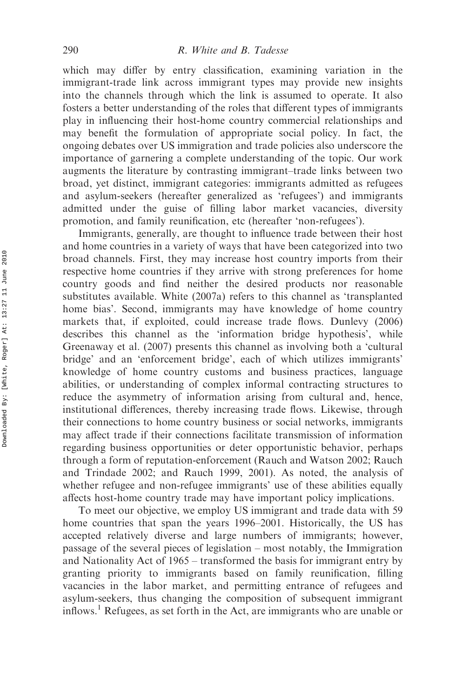which may differ by entry classification, examining variation in the immigrant-trade link across immigrant types may provide new insights into the channels through which the link is assumed to operate. It also fosters a better understanding of the roles that different types of immigrants play in influencing their host-home country commercial relationships and may benefit the formulation of appropriate social policy. In fact, the ongoing debates over US immigration and trade policies also underscore the importance of garnering a complete understanding of the topic. Our work augments the literature by contrasting immigrant–trade links between two broad, yet distinct, immigrant categories: immigrants admitted as refugees and asylum-seekers (hereafter generalized as 'refugees') and immigrants admitted under the guise of filling labor market vacancies, diversity promotion, and family reunification, etc (hereafter 'non-refugees').

Immigrants, generally, are thought to influence trade between their host and home countries in a variety of ways that have been categorized into two broad channels. First, they may increase host country imports from their respective home countries if they arrive with strong preferences for home country goods and find neither the desired products nor reasonable substitutes available. White (2007a) refers to this channel as 'transplanted home bias'. Second, immigrants may have knowledge of home country markets that, if exploited, could increase trade flows. Dunlevy (2006) describes this channel as the 'information bridge hypothesis', while Greenaway et al. (2007) presents this channel as involving both a 'cultural bridge' and an 'enforcement bridge', each of which utilizes immigrants' knowledge of home country customs and business practices, language abilities, or understanding of complex informal contracting structures to reduce the asymmetry of information arising from cultural and, hence, institutional differences, thereby increasing trade flows. Likewise, through their connections to home country business or social networks, immigrants may affect trade if their connections facilitate transmission of information regarding business opportunities or deter opportunistic behavior, perhaps through a form of reputation-enforcement (Rauch and Watson 2002; Rauch and Trindade 2002; and Rauch 1999, 2001). As noted, the analysis of whether refugee and non-refugee immigrants' use of these abilities equally affects host-home country trade may have important policy implications.

To meet our objective, we employ US immigrant and trade data with 59 home countries that span the years 1996–2001. Historically, the US has accepted relatively diverse and large numbers of immigrants; however, passage of the several pieces of legislation – most notably, the Immigration and Nationality Act of 1965 – transformed the basis for immigrant entry by granting priority to immigrants based on family reunification, filling vacancies in the labor market, and permitting entrance of refugees and asylum-seekers, thus changing the composition of subsequent immigrant inflows.<sup>1</sup> Refugees, as set forth in the Act, are immigrants who are unable or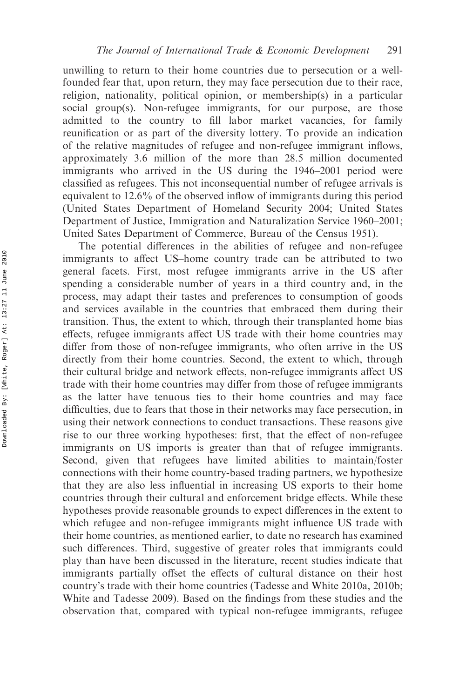unwilling to return to their home countries due to persecution or a wellfounded fear that, upon return, they may face persecution due to their race, religion, nationality, political opinion, or membership(s) in a particular social group(s). Non-refugee immigrants, for our purpose, are those admitted to the country to fill labor market vacancies, for family reunification or as part of the diversity lottery. To provide an indication of the relative magnitudes of refugee and non-refugee immigrant inflows, approximately 3.6 million of the more than 28.5 million documented immigrants who arrived in the US during the 1946–2001 period were classified as refugees. This not inconsequential number of refugee arrivals is equivalent to 12.6% of the observed inflow of immigrants during this period (United States Department of Homeland Security 2004; United States Department of Justice, Immigration and Naturalization Service 1960–2001; United Sates Department of Commerce, Bureau of the Census 1951).

The potential differences in the abilities of refugee and non-refugee immigrants to affect US–home country trade can be attributed to two general facets. First, most refugee immigrants arrive in the US after spending a considerable number of years in a third country and, in the process, may adapt their tastes and preferences to consumption of goods and services available in the countries that embraced them during their transition. Thus, the extent to which, through their transplanted home bias effects, refugee immigrants affect US trade with their home countries may differ from those of non-refugee immigrants, who often arrive in the US directly from their home countries. Second, the extent to which, through their cultural bridge and network effects, non-refugee immigrants affect US trade with their home countries may differ from those of refugee immigrants as the latter have tenuous ties to their home countries and may face difficulties, due to fears that those in their networks may face persecution, in using their network connections to conduct transactions. These reasons give rise to our three working hypotheses: first, that the effect of non-refugee immigrants on US imports is greater than that of refugee immigrants. Second, given that refugees have limited abilities to maintain/foster connections with their home country-based trading partners, we hypothesize that they are also less influential in increasing US exports to their home countries through their cultural and enforcement bridge effects. While these hypotheses provide reasonable grounds to expect differences in the extent to which refugee and non-refugee immigrants might influence US trade with their home countries, as mentioned earlier, to date no research has examined such differences. Third, suggestive of greater roles that immigrants could play than have been discussed in the literature, recent studies indicate that immigrants partially offset the effects of cultural distance on their host country's trade with their home countries (Tadesse and White 2010a, 2010b; White and Tadesse 2009). Based on the findings from these studies and the observation that, compared with typical non-refugee immigrants, refugee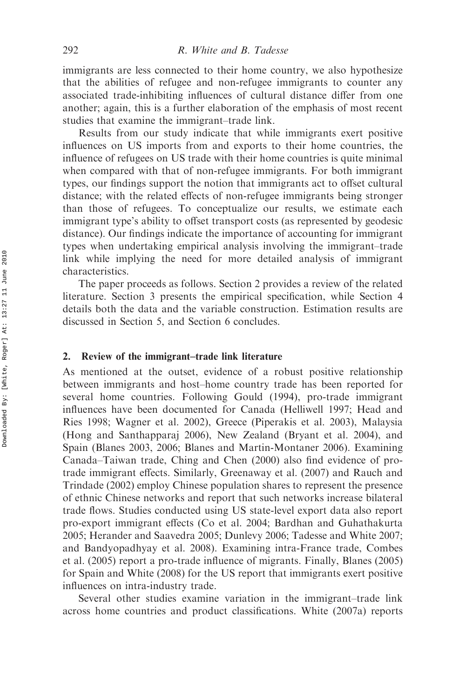immigrants are less connected to their home country, we also hypothesize that the abilities of refugee and non-refugee immigrants to counter any associated trade-inhibiting influences of cultural distance differ from one another; again, this is a further elaboration of the emphasis of most recent studies that examine the immigrant–trade link.

Results from our study indicate that while immigrants exert positive influences on US imports from and exports to their home countries, the influence of refugees on US trade with their home countries is quite minimal when compared with that of non-refugee immigrants. For both immigrant types, our findings support the notion that immigrants act to offset cultural distance; with the related effects of non-refugee immigrants being stronger than those of refugees. To conceptualize our results, we estimate each immigrant type's ability to offset transport costs (as represented by geodesic distance). Our findings indicate the importance of accounting for immigrant types when undertaking empirical analysis involving the immigrant–trade link while implying the need for more detailed analysis of immigrant characteristics.

The paper proceeds as follows. Section 2 provides a review of the related literature. Section 3 presents the empirical specification, while Section 4 details both the data and the variable construction. Estimation results are discussed in Section 5, and Section 6 concludes.

#### 2. Review of the immigrant–trade link literature

As mentioned at the outset, evidence of a robust positive relationship between immigrants and host–home country trade has been reported for several home countries. Following Gould (1994), pro-trade immigrant influences have been documented for Canada (Helliwell 1997; Head and Ries 1998; Wagner et al. 2002), Greece (Piperakis et al. 2003), Malaysia (Hong and Santhapparaj 2006), New Zealand (Bryant et al. 2004), and Spain (Blanes 2003, 2006; Blanes and Martin-Montaner 2006). Examining Canada–Taiwan trade, Ching and Chen (2000) also find evidence of protrade immigrant effects. Similarly, Greenaway et al. (2007) and Rauch and Trindade (2002) employ Chinese population shares to represent the presence of ethnic Chinese networks and report that such networks increase bilateral trade flows. Studies conducted using US state-level export data also report pro-export immigrant effects (Co et al. 2004; Bardhan and Guhathakurta 2005; Herander and Saavedra 2005; Dunlevy 2006; Tadesse and White 2007; and Bandyopadhyay et al. 2008). Examining intra-France trade, Combes et al. (2005) report a pro-trade influence of migrants. Finally, Blanes (2005) for Spain and White (2008) for the US report that immigrants exert positive influences on intra-industry trade.

Several other studies examine variation in the immigrant–trade link across home countries and product classifications. White (2007a) reports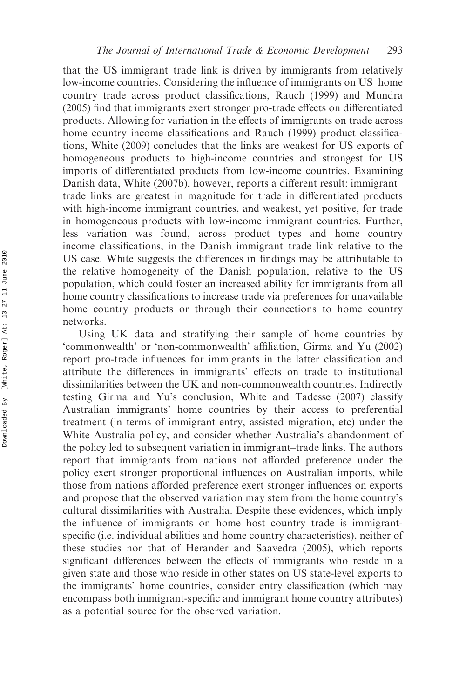that the US immigrant–trade link is driven by immigrants from relatively low-income countries. Considering the influence of immigrants on US–home country trade across product classifications, Rauch (1999) and Mundra (2005) find that immigrants exert stronger pro-trade effects on differentiated products. Allowing for variation in the effects of immigrants on trade across home country income classifications and Rauch (1999) product classifications, White (2009) concludes that the links are weakest for US exports of homogeneous products to high-income countries and strongest for US imports of differentiated products from low-income countries. Examining Danish data, White (2007b), however, reports a different result: immigrant– trade links are greatest in magnitude for trade in differentiated products with high-income immigrant countries, and weakest, yet positive, for trade in homogeneous products with low-income immigrant countries. Further, less variation was found, across product types and home country income classifications, in the Danish immigrant–trade link relative to the US case. White suggests the differences in findings may be attributable to the relative homogeneity of the Danish population, relative to the US population, which could foster an increased ability for immigrants from all home country classifications to increase trade via preferences for unavailable home country products or through their connections to home country networks.

Using UK data and stratifying their sample of home countries by 'commonwealth' or 'non-commonwealth' affiliation, Girma and Yu (2002) report pro-trade influences for immigrants in the latter classification and attribute the differences in immigrants' effects on trade to institutional dissimilarities between the UK and non-commonwealth countries. Indirectly testing Girma and Yu's conclusion, White and Tadesse (2007) classify Australian immigrants' home countries by their access to preferential treatment (in terms of immigrant entry, assisted migration, etc) under the White Australia policy, and consider whether Australia's abandonment of the policy led to subsequent variation in immigrant–trade links. The authors report that immigrants from nations not afforded preference under the policy exert stronger proportional influences on Australian imports, while those from nations afforded preference exert stronger influences on exports and propose that the observed variation may stem from the home country's cultural dissimilarities with Australia. Despite these evidences, which imply the influence of immigrants on home–host country trade is immigrantspecific (i.e. individual abilities and home country characteristics), neither of these studies nor that of Herander and Saavedra (2005), which reports significant differences between the effects of immigrants who reside in a given state and those who reside in other states on US state-level exports to the immigrants' home countries, consider entry classification (which may encompass both immigrant-specific and immigrant home country attributes) as a potential source for the observed variation.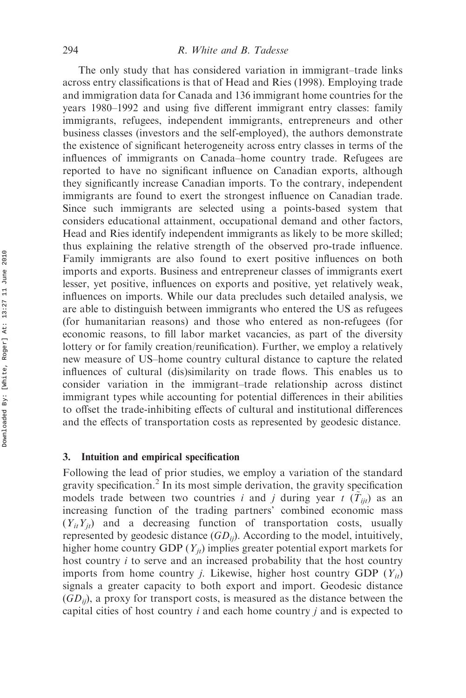The only study that has considered variation in immigrant–trade links across entry classifications is that of Head and Ries (1998). Employing trade and immigration data for Canada and 136 immigrant home countries for the years 1980–1992 and using five different immigrant entry classes: family immigrants, refugees, independent immigrants, entrepreneurs and other business classes (investors and the self-employed), the authors demonstrate the existence of significant heterogeneity across entry classes in terms of the influences of immigrants on Canada–home country trade. Refugees are reported to have no significant influence on Canadian exports, although they significantly increase Canadian imports. To the contrary, independent immigrants are found to exert the strongest influence on Canadian trade. Since such immigrants are selected using a points-based system that considers educational attainment, occupational demand and other factors, Head and Ries identify independent immigrants as likely to be more skilled; thus explaining the relative strength of the observed pro-trade influence. Family immigrants are also found to exert positive influences on both imports and exports. Business and entrepreneur classes of immigrants exert lesser, yet positive, influences on exports and positive, yet relatively weak, influences on imports. While our data precludes such detailed analysis, we are able to distinguish between immigrants who entered the US as refugees (for humanitarian reasons) and those who entered as non-refugees (for economic reasons, to fill labor market vacancies, as part of the diversity lottery or for family creation/reunification). Further, we employ a relatively new measure of US–home country cultural distance to capture the related influences of cultural (dis)similarity on trade flows. This enables us to consider variation in the immigrant–trade relationship across distinct immigrant types while accounting for potential differences in their abilities to offset the trade-inhibiting effects of cultural and institutional differences and the effects of transportation costs as represented by geodesic distance.

#### 3. Intuition and empirical specification

Following the lead of prior studies, we employ a variation of the standard gravity specification.<sup>2</sup> In its most simple derivation, the gravity specification models trade between two countries i and j during year t  $(T_{ii})$  as an increasing function of the trading partners' combined economic mass  $(Y_{it}Y_{it})$  and a decreasing function of transportation costs, usually represented by geodesic distance  $(GD_{ij})$ . According to the model, intuitively, higher home country GDP  $(Y_{it})$  implies greater potential export markets for host country i to serve and an increased probability that the host country imports from home country *j*. Likewise, higher host country GDP  $(Y_{ii})$ signals a greater capacity to both export and import. Geodesic distance  $(GD_{ii})$ , a proxy for transport costs, is measured as the distance between the capital cities of host country  $i$  and each home country  $j$  and is expected to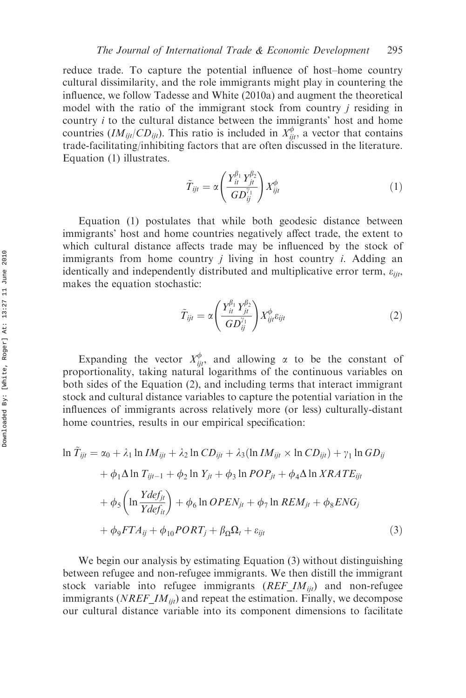reduce trade. To capture the potential influence of host–home country cultural dissimilarity, and the role immigrants might play in countering the influence, we follow Tadesse and White (2010a) and augment the theoretical model with the ratio of the immigrant stock from country  *residing in* country i to the cultural distance between the immigrants' host and home countries (*IM<sub>ijt</sub>*/*CD<sub>ijt</sub>*). This ratio is included in  $X_{ijt}^{\phi}$ , a vector that contains trade-facilitating/inhibiting factors that are often discussed in the literature. Equation (1) illustrates.

$$
\tilde{T}_{ijt} = \alpha \left( \frac{Y_{it}^{\beta_1} Y_{jt}^{\beta_2}}{GD_{ij}^{\gamma_1}} \right) X_{ijt}^{\phi} \tag{1}
$$

Equation (1) postulates that while both geodesic distance between immigrants' host and home countries negatively affect trade, the extent to which cultural distance affects trade may be influenced by the stock of immigrants from home country j living in host country i. Adding an identically and independently distributed and multiplicative error term,  $\varepsilon_{iit}$ , makes the equation stochastic:

$$
\tilde{T}_{ijt} = \alpha \left( \frac{Y_{ii}^{\beta_1} Y_{jt}^{\beta_2}}{GD_{ij}^{\gamma_1}} \right) X_{ijt}^{\phi} \varepsilon_{ijt}
$$
\n(2)

Expanding the vector  $X_{ij}^{\phi}$ , and allowing  $\alpha$  to be the constant of proportionality, taking natural logarithms of the continuous variables on both sides of the Equation (2), and including terms that interact immigrant stock and cultural distance variables to capture the potential variation in the influences of immigrants across relatively more (or less) culturally-distant home countries, results in our empirical specification:

$$
\ln \tilde{T}_{ijt} = \alpha_0 + \lambda_1 \ln IM_{ijt} + \lambda_2 \ln CD_{ijt} + \lambda_3 (\ln IM_{ijt} \times \ln CD_{ijt}) + \gamma_1 \ln GD_{ij} \n+ \phi_1 \Delta \ln T_{ijt-1} + \phi_2 \ln Y_{jt} + \phi_3 \ln POP_{jt} + \phi_4 \Delta \ln XRATE_{ijt} \n+ \phi_5 \left( \ln \frac{Ydef_{jt}}{Ydef_{it}} \right) + \phi_6 \ln OPEN_{jt} + \phi_7 \ln REM_{jt} + \phi_8 ENG_j \n+ \phi_9 FTA_{ij} + \phi_{10} PORT_{j} + \beta_{\Omega} \Omega_t + \varepsilon_{ijt}
$$
\n(3)

We begin our analysis by estimating Equation (3) without distinguishing between refugee and non-refugee immigrants. We then distill the immigrant stock variable into refugee immigrants  $(REF_M_{ijt})$  and non-refugee immigrants ( $NREF_M_{iii}$ ) and repeat the estimation. Finally, we decompose our cultural distance variable into its component dimensions to facilitate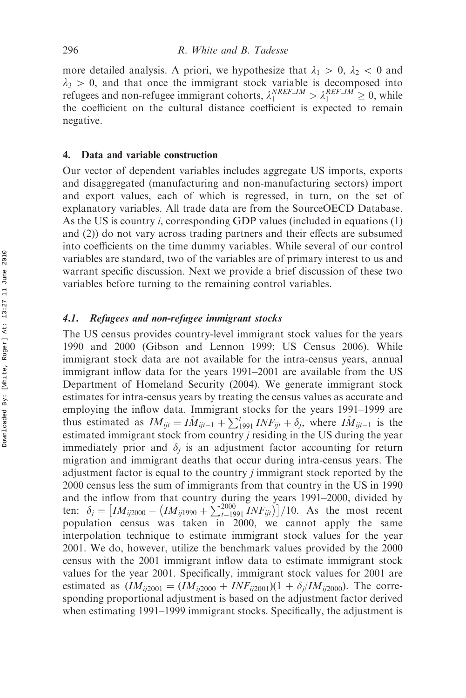more detailed analysis. A priori, we hypothesize that  $\lambda_1 > 0$ ,  $\lambda_2 < 0$  and  $\lambda_3 > 0$ , and that once the immigrant stock variable is decomposed into refugees and non-refugee immigrant cohorts,  $\lambda_1^{NREF\_IM} > \lambda_1^{REF\_IM} \ge 0$ , while the coefficient on the cultural distance coefficient is expected to remain negative.

#### 4. Data and variable construction

Our vector of dependent variables includes aggregate US imports, exports and disaggregated (manufacturing and non-manufacturing sectors) import and export values, each of which is regressed, in turn, on the set of explanatory variables. All trade data are from the SourceOECD Database. As the US is country i, corresponding GDP values (included in equations  $(1)$ ) and (2)) do not vary across trading partners and their effects are subsumed into coefficients on the time dummy variables. While several of our control variables are standard, two of the variables are of primary interest to us and warrant specific discussion. Next we provide a brief discussion of these two variables before turning to the remaining control variables.

#### 4.1. Refugees and non-refugee immigrant stocks

The US census provides country-level immigrant stock values for the years 1990 and 2000 (Gibson and Lennon 1999; US Census 2006). While immigrant stock data are not available for the intra-census years, annual immigrant inflow data for the years 1991–2001 are available from the US Department of Homeland Security (2004). We generate immigrant stock estimates for intra-census years by treating the census values as accurate and employing the inflow data. Immigrant stocks for the years 1991–1999 are thus estimated as  $IM_{ijt} = I\hat{M}_{ijt-1} + \sum_{1991}^{t} INF_{ijt} + \delta_j$ , where  $I\hat{M}_{ijt-1}$  is the estimated immigrant stock from country  $j$  residing in the US during the year immediately prior and  $\delta_i$  is an adjustment factor accounting for return migration and immigrant deaths that occur during intra-census years. The adjustment factor is equal to the country j immigrant stock reported by the 2000 census less the sum of immigrants from that country in the US in 1990 and the inflow from that country during the years 1991–2000, divided by<br>ten:  $\delta_j = \left[ IM_{ij2000} - \left( IM_{ij1990} + \sum_{t=1991}^{2000} INF_{ijt} \right) \right] / 10$ . As the most recent population census was taken in 2000, we cannot apply the same interpolation technique to estimate immigrant stock values for the year 2001. We do, however, utilize the benchmark values provided by the 2000 census with the 2001 immigrant inflow data to estimate immigrant stock values for the year 2001. Specifically, immigrant stock values for 2001 are estimated as  $(IM_{ii2001} = (IM_{ii2000} + INF_{ii2001})(1 + \delta_i/IM_{ii2000})$ . The corresponding proportional adjustment is based on the adjustment factor derived when estimating 1991–1999 immigrant stocks. Specifically, the adjustment is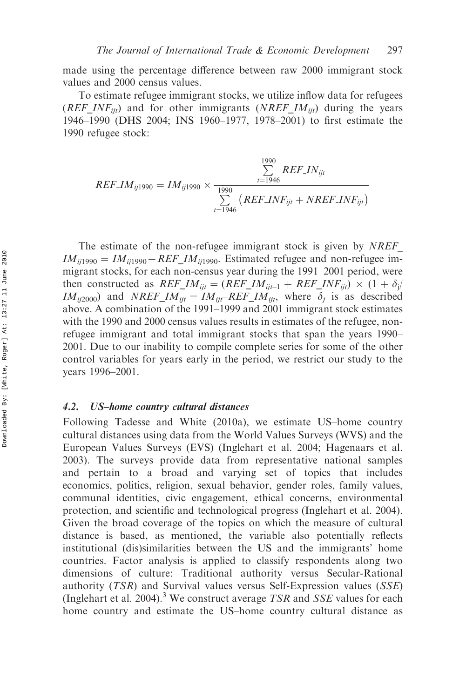made using the percentage difference between raw 2000 immigrant stock values and 2000 census values.

To estimate refugee immigrant stocks, we utilize inflow data for refugees (REF INF<sub>iii</sub>) and for other immigrants (NREF IM<sub>iit</sub>) during the years 1946–1990 (DHS 2004; INS 1960–1977, 1978–2001) to first estimate the 1990 refugee stock:

$$
REF\_IM_{ij1990} = IM_{ij1990} \times \frac{\sum_{t=1946}^{1990} REF\_IN_{ijt}}{\sum_{t=1946}^{1990} (REF\_INF_{ijt} + NREF\_INF_{ijt})}
$$

The estimate of the non-refugee immigrant stock is given by NREF\_  $IM_{ij1990} = IM_{ij1990} - REF\_IM_{ij1990}$ . Estimated refugee and non-refugee immigrant stocks, for each non-census year during the 1991–2001 period, were then constructed as  $REF\_IM_{ijt} = (REF\_IM_{ijt-1} + REF\_INF_{ijt}) \times (1 + \delta_i/$  $IM_{ij2000}$  and  $NREF\_IM_{ijt} = IM_{ijt}-REF\_IM_{ijt}$ , where  $\delta_i$  is as described above. A combination of the 1991–1999 and 2001 immigrant stock estimates with the 1990 and 2000 census values results in estimates of the refugee, nonrefugee immigrant and total immigrant stocks that span the years 1990– 2001. Due to our inability to compile complete series for some of the other control variables for years early in the period, we restrict our study to the years 1996–2001.

#### 4.2. US–home country cultural distances

Following Tadesse and White (2010a), we estimate US–home country cultural distances using data from the World Values Surveys (WVS) and the European Values Surveys (EVS) (Inglehart et al. 2004; Hagenaars et al. 2003). The surveys provide data from representative national samples and pertain to a broad and varying set of topics that includes economics, politics, religion, sexual behavior, gender roles, family values, communal identities, civic engagement, ethical concerns, environmental protection, and scientific and technological progress (Inglehart et al. 2004). Given the broad coverage of the topics on which the measure of cultural distance is based, as mentioned, the variable also potentially reflects institutional (dis)similarities between the US and the immigrants' home countries. Factor analysis is applied to classify respondents along two dimensions of culture: Traditional authority versus Secular-Rational authority (TSR) and Survival values versus Self-Expression values (SSE) (Inglehart et al. 2004).<sup>3</sup> We construct average TSR and SSE values for each home country and estimate the US–home country cultural distance as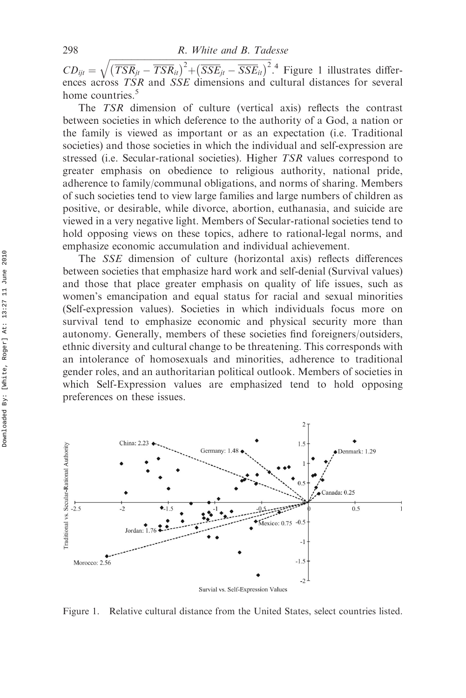$CD_{ijt} =$  $\sqrt{\left(TSR_{jt} - \overline{TSR}_{it}\right)^2 + \left(\overline{SSE}_{jt} - \overline{SSE}_{it}\right)^2}$ <sup>4</sup> Figure 1 illustrates differences across TSR and SSE dimensions and cultural distances for several home countries.<sup>5</sup>

The TSR dimension of culture (vertical axis) reflects the contrast between societies in which deference to the authority of a God, a nation or the family is viewed as important or as an expectation (i.e. Traditional societies) and those societies in which the individual and self-expression are stressed (i.e. Secular-rational societies). Higher TSR values correspond to greater emphasis on obedience to religious authority, national pride, adherence to family/communal obligations, and norms of sharing. Members of such societies tend to view large families and large numbers of children as positive, or desirable, while divorce, abortion, euthanasia, and suicide are viewed in a very negative light. Members of Secular-rational societies tend to hold opposing views on these topics, adhere to rational-legal norms, and emphasize economic accumulation and individual achievement.

The SSE dimension of culture (horizontal axis) reflects differences between societies that emphasize hard work and self-denial (Survival values) and those that place greater emphasis on quality of life issues, such as women's emancipation and equal status for racial and sexual minorities (Self-expression values). Societies in which individuals focus more on survival tend to emphasize economic and physical security more than autonomy. Generally, members of these societies find foreigners/outsiders, ethnic diversity and cultural change to be threatening. This corresponds with an intolerance of homosexuals and minorities, adherence to traditional gender roles, and an authoritarian political outlook. Members of societies in which Self-Expression values are emphasized tend to hold opposing preferences on these issues.



Figure 1. Relative cultural distance from the United States, select countries listed.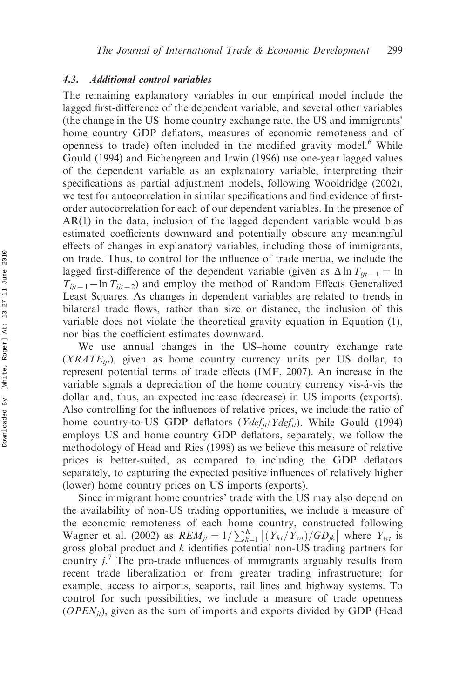#### 4.3. Additional control variables

The remaining explanatory variables in our empirical model include the lagged first-difference of the dependent variable, and several other variables (the change in the US–home country exchange rate, the US and immigrants' home country GDP deflators, measures of economic remoteness and of openness to trade) often included in the modified gravity model.<sup>6</sup> While Gould (1994) and Eichengreen and Irwin (1996) use one-year lagged values of the dependent variable as an explanatory variable, interpreting their specifications as partial adjustment models, following Wooldridge (2002), we test for autocorrelation in similar specifications and find evidence of firstorder autocorrelation for each of our dependent variables. In the presence of AR(1) in the data, inclusion of the lagged dependent variable would bias estimated coefficients downward and potentially obscure any meaningful effects of changes in explanatory variables, including those of immigrants, on trade. Thus, to control for the influence of trade inertia, we include the lagged first-difference of the dependent variable (given as  $\Delta \ln T_{ii} = \ln \frac{1}{2}$  $T_{iit-1}$  - ln  $T_{iit-2}$ ) and employ the method of Random Effects Generalized Least Squares. As changes in dependent variables are related to trends in bilateral trade flows, rather than size or distance, the inclusion of this variable does not violate the theoretical gravity equation in Equation (1), nor bias the coefficient estimates downward.

We use annual changes in the US–home country exchange rate  $(XRATE_{ii})$ , given as home country currency units per US dollar, to represent potential terms of trade effects (IMF, 2007). An increase in the variable signals a depreciation of the home country currency vis-a`-vis the dollar and, thus, an expected increase (decrease) in US imports (exports). Also controlling for the influences of relative prices, we include the ratio of home country-to-US GDP deflators (*Ydef<sub>it</sub>*) *Ydef<sub>it</sub>*). While Gould (1994) employs US and home country GDP deflators, separately, we follow the methodology of Head and Ries (1998) as we believe this measure of relative prices is better-suited, as compared to including the GDP deflators separately, to capturing the expected positive influences of relatively higher (lower) home country prices on US imports (exports).

Since immigrant home countries' trade with the US may also depend on the availability of non-US trading opportunities, we include a measure of the economic remoteness of each home country, constructed following Wagner et al. (2002) as  $REM_{jt} = 1/\sum_{k=1}^{K} [(Y_{kt}/Y_{wt})/GD_{jk}]$  where  $Y_{wt}$  is gross global product and k identifies potential non-US trading partners for country  $j^7$ . The pro-trade influences of immigrants arguably results from recent trade liberalization or from greater trading infrastructure; for example, access to airports, seaports, rail lines and highway systems. To control for such possibilities, we include a measure of trade openness  $(OPEN<sub>it</sub>)$ , given as the sum of imports and exports divided by GDP (Head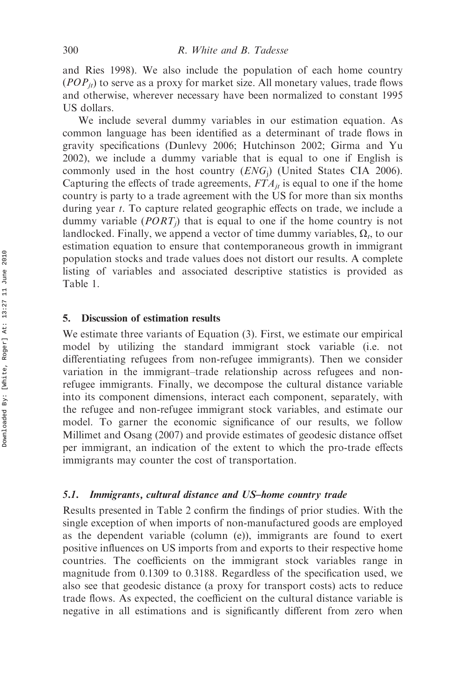and Ries 1998). We also include the population of each home country  $(POP_{it})$  to serve as a proxy for market size. All monetary values, trade flows and otherwise, wherever necessary have been normalized to constant 1995 US dollars.

We include several dummy variables in our estimation equation. As common language has been identified as a determinant of trade flows in gravity specifications (Dunlevy 2006; Hutchinson 2002; Girma and Yu 2002), we include a dummy variable that is equal to one if English is commonly used in the host country  $(ENG_i)$  (United States CIA 2006). Capturing the effects of trade agreements,  $FTA_{it}$  is equal to one if the home country is party to a trade agreement with the US for more than six months during year t. To capture related geographic effects on trade, we include a dummy variable  $(PORT<sub>i</sub>)$  that is equal to one if the home country is not landlocked. Finally, we append a vector of time dummy variables,  $\Omega_t$ , to our estimation equation to ensure that contemporaneous growth in immigrant population stocks and trade values does not distort our results. A complete listing of variables and associated descriptive statistics is provided as Table 1.

#### 5. Discussion of estimation results

We estimate three variants of Equation (3). First, we estimate our empirical model by utilizing the standard immigrant stock variable (i.e. not differentiating refugees from non-refugee immigrants). Then we consider variation in the immigrant–trade relationship across refugees and nonrefugee immigrants. Finally, we decompose the cultural distance variable into its component dimensions, interact each component, separately, with the refugee and non-refugee immigrant stock variables, and estimate our model. To garner the economic significance of our results, we follow Millimet and Osang (2007) and provide estimates of geodesic distance offset per immigrant, an indication of the extent to which the pro-trade effects immigrants may counter the cost of transportation.

#### 5.1. Immigrants, cultural distance and US–home country trade

Results presented in Table 2 confirm the findings of prior studies. With the single exception of when imports of non-manufactured goods are employed as the dependent variable (column (e)), immigrants are found to exert positive influences on US imports from and exports to their respective home countries. The coefficients on the immigrant stock variables range in magnitude from 0.1309 to 0.3188. Regardless of the specification used, we also see that geodesic distance (a proxy for transport costs) acts to reduce trade flows. As expected, the coefficient on the cultural distance variable is negative in all estimations and is significantly different from zero when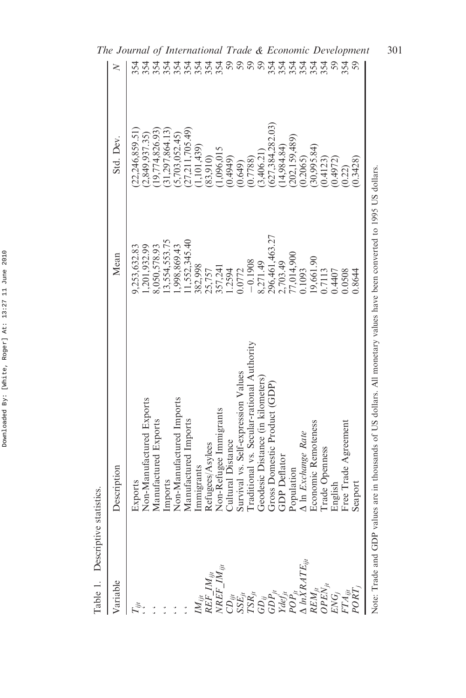| Person                                                                        | , externation of                                                                                                       |                |                   |            |
|-------------------------------------------------------------------------------|------------------------------------------------------------------------------------------------------------------------|----------------|-------------------|------------|
| ariable                                                                       | Description                                                                                                            | Mean           | Std. Dev.         | $\geq$     |
|                                                                               | Exports                                                                                                                | 9,253,632.83   | (22, 246, 859.51) | 354        |
|                                                                               | Non-Manufactured Exports                                                                                               | ,201,932.99    | 2,849,937.35)     |            |
|                                                                               | Manufactured Exports                                                                                                   | 8,050,578.93   | 19,774,826.93)    | 224<br>224 |
|                                                                               | Imports                                                                                                                | 13,554,553.75  | 31,297,864.13     | 354        |
|                                                                               | Non-Manufactured Imports                                                                                               | ,998,869.43    | 5,703,052.45)     | 354        |
|                                                                               | Manufactured Imports                                                                                                   | 1,552,345.40   | 27,211,705.49)    | 354        |
|                                                                               | Immigrants                                                                                                             | 382,998        | 1,101,439)        | 354        |
|                                                                               | Refugees/Asylees                                                                                                       | 25,757         | 83,910)           | 354        |
|                                                                               | Non-Refugee Immigrants                                                                                                 | 357,241        | 1,096,015         | 354        |
|                                                                               | <b>Cultural Distance</b>                                                                                               | 1.2594         | (64949)           | 59         |
|                                                                               | Survival vs. Self-expression Values                                                                                    | 0.0772         | (649)             |            |
| $\mathcal{P}_{S}^{\mathit{in}}$<br>$\mathit{S} \mathit{E}_{jt}^{\mathit{in}}$ | Traditional vs. Secular-rational Authority                                                                             | $-0.1908$      | 0.7788)           | 59         |
|                                                                               | Geodesic Distance (in kilometers)                                                                                      | 8,271.49       | 3,406.21)         | 59         |
|                                                                               | Gross Domestic Product (GDP)                                                                                           | 296,461,463.27 | 627,384,282.03)   | 354        |
|                                                                               | <b>GDP</b> Deflator                                                                                                    | 2,703.49       | 14,984.84)        | 354        |
|                                                                               | Population                                                                                                             | 77,014,900     | 202,159,489)      | 354        |
|                                                                               | A In Exchange Rate                                                                                                     | 0.1093         | 0.2065            | 354        |
|                                                                               | Economic Remoteness                                                                                                    | 19,661.90      | 30,995.84)        |            |
|                                                                               | Trade Openness                                                                                                         | 0.7113         | 0.4123            | 354        |
|                                                                               | English                                                                                                                | 0.4407         | (2.4972)          | 59         |
|                                                                               | Free Trade Agreement                                                                                                   | 0.0508         | (0.22)            | 354        |
|                                                                               | Seaport                                                                                                                | 0.8644         | 0.3428            | 59         |
|                                                                               | Note: Trade and GDP values are in thousands of US dollars. All monetary values have been converted to 1995 US dollars. |                |                   |            |

Table 1. Descriptive statistics. Table 1. Descriptive statistics.

Downloaded By: [White, Roger] At: 13:27 11 June 2010 Downloaded By: [White, Roger] At: 13:27 11 June 2010

The Journal of International Trade & Economic Development 301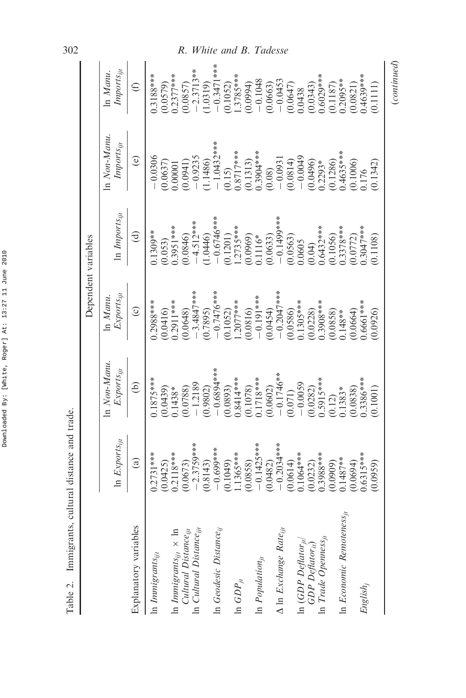| ۶<br>l<br>ı<br>I<br>L              |
|------------------------------------|
| IJ<br>١<br>ı<br>i<br>ŀ.            |
| ł<br>t<br>ł                        |
| I<br>I<br>L<br>١<br>¢<br>Ł<br>×    |
| ï<br>ł<br>f.                       |
| ł<br>÷.<br>ł<br>۱<br>١<br>I<br>i   |
| $\overline{1}$<br>×<br>l<br>l<br>ä |
| ł<br>À<br>¥.                       |
| ۱<br>٠                             |

Table 2. Immigrants, cultural distance and trade. Table 2. Immigrants, cultural distance and trade.

|                                                                 |                              |                                                      |                             | Dependent variables                                |                                                                                                                                          |                                    |
|-----------------------------------------------------------------|------------------------------|------------------------------------------------------|-----------------------------|----------------------------------------------------|------------------------------------------------------------------------------------------------------------------------------------------|------------------------------------|
|                                                                 | $\ln$ Exports <sub>iit</sub> | In Non-Manu.<br>Exports <sub>ijt</sub>               | $Exports_{iii}$<br>ln Manu. | $In$ <i>Imports</i> <sub>iit</sub>                 | In Non-Manu.<br>Imports <sub>ijt</sub>                                                                                                   | ln Manu.<br>Imports <sub>iil</sub> |
| Explanatory variables                                           | $\binom{a}{b}$               | $\widehat{e}$                                        | $\odot$                     | $\widehat{\mathbf{c}}$                             | $\odot$                                                                                                                                  | $\oplus$                           |
| In $Immigrants_{ji}$                                            | $0.2731***$                  | $.1875***$                                           | $0.2988***$                 | 1.1309**                                           | $-0.0306$                                                                                                                                | $0.3188***$                        |
| In Immigrants <sub>ijt</sub> $\times$ In                        | $(0.0425)$<br>0.2118***      | $(0.0439)$<br>$0.1438*$                              | $0.2911***$<br>(0.0416)     | (0.053)                                            | (0.0637)<br>0.00001                                                                                                                      | $0.2377***$<br>(6.579)             |
| Cultural Distance <sub>ijt</sub>                                | (0.0673)                     | 0.0788)                                              | (0.0648)                    | $0.3951***$<br>(0.0846)                            | (1160.0)                                                                                                                                 | (0.0857)                           |
| In Cultural Distance $_{ij}$                                    | $-2.3759***$<br>(0.8143)     | $-1.2189$<br>(0.9802)<br>-0.6894***                  |                             | $-4.512***$<br>(1.0446)                            | $-0.9235$<br>$(1.1486)$                                                                                                                  | $-2.3713**$<br>(1.0319)            |
|                                                                 |                              |                                                      | $-3.4847***$<br>(0.7895)    |                                                    |                                                                                                                                          |                                    |
| In Geodesic Distance <sub>ij</sub>                              | $-0.69$ ***                  |                                                      | $-0.7476***$                | $-0.6746***$<br>(0.1201)                           | $-1.0432***$<br>(0.15)<br>0.8717***                                                                                                      | $-0.3471***$<br>(0.1052)           |
|                                                                 | (0.1049)                     | (0.0893)                                             | (0.1052)                    |                                                    |                                                                                                                                          |                                    |
| In $GDP_{ji}$                                                   | .1365****                    | $.8414***$                                           | $.2077***$                  | $.2735***$                                         |                                                                                                                                          | $.3785***$                         |
|                                                                 | (0.0858)                     | $\begin{array}{c} (0.1078) \\ 0.1718*** \end{array}$ | $(0.0816)$<br>-0.191***     | $(0.0969)$<br>$0.1116*$                            | $(0.1313)$<br>$0.3904***$                                                                                                                | (0.0994)                           |
| In $Population_{jt}$                                            | $-0.1425***$                 |                                                      |                             |                                                    |                                                                                                                                          | $-0.1048$                          |
|                                                                 |                              |                                                      |                             |                                                    |                                                                                                                                          | (0.0663)                           |
| $\Delta$ In Exchange Rate <sub>iji</sub>                        | $(0.0482)$<br>-0.2034***     | $(0.0602)$<br>-0.1746**                              | $(0.0454)$<br>-0.2047***    | $(0.0633)$<br>$-0.1499***$<br>$(0.0563)$<br>0.0605 | $\begin{array}{c} (0.08) \\[-4pt] 0.0931 \\[-4pt] 0.0814) \\[-4pt] 0.0049 \\[-4pt] 0.0049 \\[-4pt] 0.0496) \\[-4pt] 0.2293* \end{array}$ | $-0.0453$                          |
|                                                                 | (0.0614)                     |                                                      | (0.0586)                    |                                                    |                                                                                                                                          | (0.0647)                           |
| In (GDP Deflator <sub>it</sub> )                                | $-1064***$                   | $(0.071)$<br>-0.0059                                 | $0.1305***$                 |                                                    |                                                                                                                                          | 0.0438                             |
| $GDP$ $De\bar{f}ator_{it}$ )<br>In Trade Openness <sub>jt</sub> | $(0.0232)$<br>0.3988***      | $(0.0282)$<br>0.5915****                             | $(0.0228)$<br>0.3908***     | $(0.04)$<br>0.6432***                              |                                                                                                                                          | (0.0343)                           |
|                                                                 |                              |                                                      |                             |                                                    |                                                                                                                                          | $0.6029***$                        |
|                                                                 | (0.0909)                     |                                                      | $(0.0858)$<br>0.148**       | (0.1056)                                           | (0.1286)                                                                                                                                 |                                    |
| In Economic Remoteness <sub>it</sub>                            | $0.1487**$                   | $\frac{(0.12)}{0.1383*}$                             |                             | $0.3378***$                                        | $4635***$                                                                                                                                | $(0.1187)$<br>$0.2095**$           |
|                                                                 | (0.0694)                     | (0.0838)                                             | (0.0664)                    | (0.0772)                                           |                                                                                                                                          | (0.0821)                           |
| $English_j$                                                     | $0.6315***$                  | $.3386***$                                           | $0.6661***$                 | $.3047***$                                         | $(0.1006)$<br>$0.176$                                                                                                                    | $0.4639***$                        |
|                                                                 | (0.0959)                     | (0.1001)                                             | (0.0926)                    | 0.1108                                             | (0.1342)                                                                                                                                 |                                    |
|                                                                 |                              |                                                      |                             |                                                    |                                                                                                                                          | (continued)                        |

302 R. White and B. Tadesse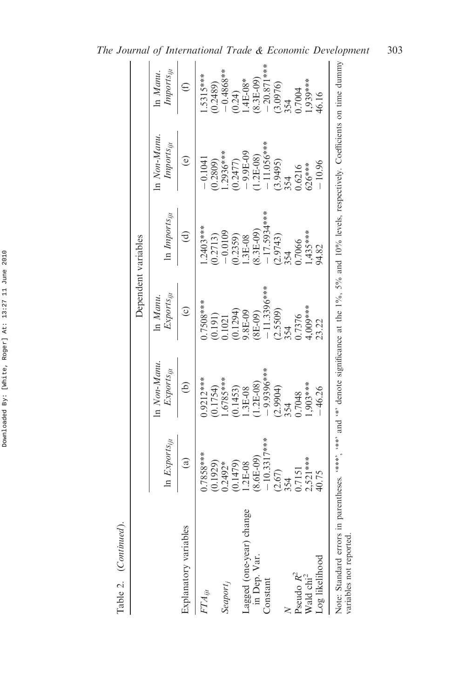|                                                  |                              |                                       | Dependent variables                |                                                    |                                                                                                                                  |                                    |
|--------------------------------------------------|------------------------------|---------------------------------------|------------------------------------|----------------------------------------------------|----------------------------------------------------------------------------------------------------------------------------------|------------------------------------|
|                                                  | $\ln$ Exports <sub>iin</sub> | In Non-Manu<br>Exports <sub>ijt</sub> | Exports <sub>ijt</sub><br>ln Manu. | $n$ Imports $_{ii}$                                | In Non-Manu.<br>Imports <sub>ijt</sub>                                                                                           | Imports <sub>ijt</sub><br>In Manu. |
| Explanatory variables                            | $\widehat{\mathbf{a}}$       | é                                     | $\widehat{\circ}$                  | ਰੁ                                                 | ම                                                                                                                                |                                    |
| $FTA_{ijt}$                                      | 1.7858***                    | 1.9212 ***                            | $0.7508***$                        | $1.2403***$                                        | 0.1041                                                                                                                           | $1.5315***$                        |
|                                                  | 0.1929)                      | 0.1754                                | 0.191)                             |                                                    | 0.2809)                                                                                                                          |                                    |
| $Seaport_j$                                      | 1.2492*                      | .6785***                              | .1021                              | $\begin{array}{c} (0.2713) \\ -0.0109 \end{array}$ | .2936***                                                                                                                         | $(0.2489)$<br>$-0.4868**$          |
|                                                  | 0.1479                       | 0.1453)                               | 0.1294                             | $(0.2359)$<br>1.3E-08                              | 0.2477                                                                                                                           | $_{1.4E-08}^{(0.24)}$              |
|                                                  | $.2E-08$                     | $1.3E-08$                             | $0.8E - 09$                        |                                                    | $-9.9E-09$                                                                                                                       |                                    |
| Lagged (one-year) change<br>in Dep. Var.         | $8.6E-09$                    | $1.2E-08$                             | 8E-09)                             | $(8.3E-09)$                                        |                                                                                                                                  | $(8.3E-09)$                        |
| Constant                                         | $-10.3317***$                | $-9.996***$                           | $-11.3396***$                      | $-17.5934***$                                      | $(1.2E-08)$<br>-11.056***                                                                                                        | $-20.871***$                       |
|                                                  | (2.67)                       | 2.9904)                               | $(2.5509)$<br>354                  | 2.9743)                                            | 3.9495)                                                                                                                          | 3.0976)                            |
|                                                  | 354                          | 54                                    |                                    | 354                                                | 354                                                                                                                              | 54                                 |
|                                                  | 0.7151                       | 1.7048                                | 1.7376                             | 0.7066                                             | 0.6216                                                                                                                           | 1.7004                             |
| Pseudo $R^2$ Wald chi $^2$                       | $521***$                     | $.903***$                             | $.009***$                          | $,435***$                                          | $526***$                                                                                                                         | $.939***$                          |
| Log likelihood                                   | 10.75                        | $-46.26$                              | 23.22                              | 14.82                                              | $-10.96$                                                                                                                         | 16.16                              |
| Note: Standard errors<br>variables not reported. |                              |                                       |                                    |                                                    | in parentheses. ****, **** and ** denote significance at the $1\%$ , 5% and 10% levels, respectively. Coefficients on time dummy |                                    |

Table 2. (Continued). Table 2. (Continued). I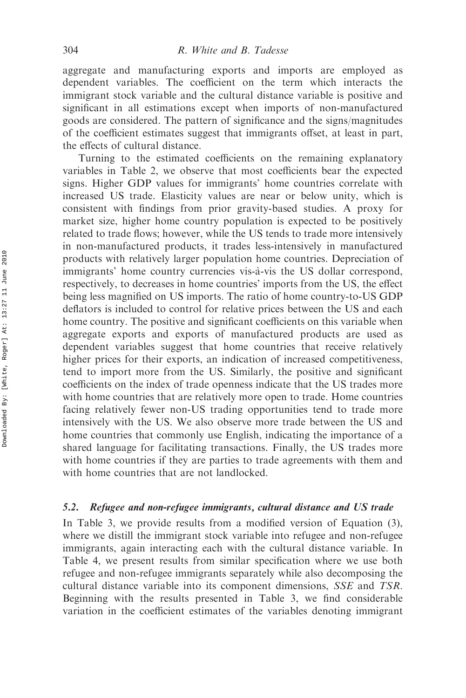aggregate and manufacturing exports and imports are employed as dependent variables. The coefficient on the term which interacts the immigrant stock variable and the cultural distance variable is positive and significant in all estimations except when imports of non-manufactured goods are considered. The pattern of significance and the signs/magnitudes of the coefficient estimates suggest that immigrants offset, at least in part, the effects of cultural distance.

Turning to the estimated coefficients on the remaining explanatory variables in Table 2, we observe that most coefficients bear the expected signs. Higher GDP values for immigrants' home countries correlate with increased US trade. Elasticity values are near or below unity, which is consistent with findings from prior gravity-based studies. A proxy for market size, higher home country population is expected to be positively related to trade flows; however, while the US tends to trade more intensively in non-manufactured products, it trades less-intensively in manufactured products with relatively larger population home countries. Depreciation of immigrants' home country currencies vis-a`-vis the US dollar correspond, respectively, to decreases in home countries' imports from the US, the effect being less magnified on US imports. The ratio of home country-to-US GDP deflators is included to control for relative prices between the US and each home country. The positive and significant coefficients on this variable when aggregate exports and exports of manufactured products are used as dependent variables suggest that home countries that receive relatively higher prices for their exports, an indication of increased competitiveness, tend to import more from the US. Similarly, the positive and significant coefficients on the index of trade openness indicate that the US trades more with home countries that are relatively more open to trade. Home countries facing relatively fewer non-US trading opportunities tend to trade more intensively with the US. We also observe more trade between the US and home countries that commonly use English, indicating the importance of a shared language for facilitating transactions. Finally, the US trades more with home countries if they are parties to trade agreements with them and with home countries that are not landlocked.

#### 5.2. Refugee and non-refugee immigrants, cultural distance and US trade

In Table 3, we provide results from a modified version of Equation (3), where we distill the immigrant stock variable into refugee and non-refugee immigrants, again interacting each with the cultural distance variable. In Table 4, we present results from similar specification where we use both refugee and non-refugee immigrants separately while also decomposing the cultural distance variable into its component dimensions, SSE and TSR. Beginning with the results presented in Table 3, we find considerable variation in the coefficient estimates of the variables denoting immigrant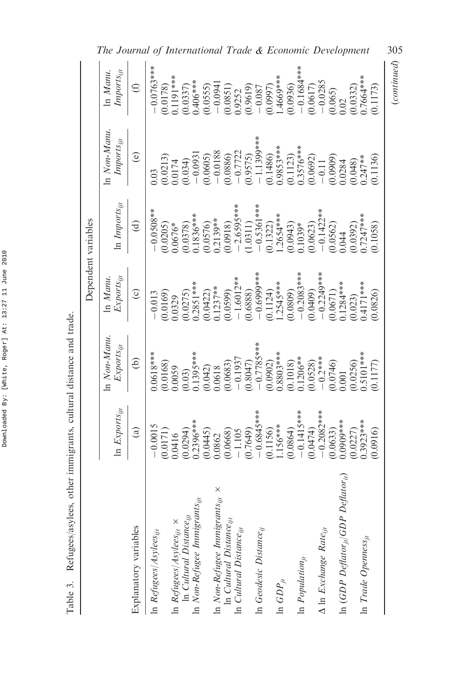| I<br>ł<br>I<br>I            |
|-----------------------------|
| j<br>$\frac{1}{2}$          |
| ł<br>1<br>ł                 |
| I<br>j<br>ׇ֚֬֕֕<br>ļ<br>ׇ֚֘ |
| At (                        |
| ł<br>j<br>ŋ<br>I<br>I       |
| V<br>J<br>j                 |
| ś<br>í<br>j                 |
| í<br>֚֕֡                    |
|                             |

Refugees/asylees, other immigrants, cultural distance and trade. Table 3. Refugees/asylees, other immigrants, cultural distance and trade. Table 3.

|                                                                                       |                                                                                                 |                                                                                                                                                          |                                                                                                                                     | Dependent variables                                                                                                                       |                                                        |                                                                                                                                                                                          |
|---------------------------------------------------------------------------------------|-------------------------------------------------------------------------------------------------|----------------------------------------------------------------------------------------------------------------------------------------------------------|-------------------------------------------------------------------------------------------------------------------------------------|-------------------------------------------------------------------------------------------------------------------------------------------|--------------------------------------------------------|------------------------------------------------------------------------------------------------------------------------------------------------------------------------------------------|
|                                                                                       | $n$ Exports <sub>ii</sub>                                                                       | In Non-Manu.<br>Exports <sub>ijt</sub>                                                                                                                   | Exports <sub>iit</sub><br>ln Manu                                                                                                   | n Imports <sub>iji</sub>                                                                                                                  | In Non-Manu.<br>Imports <sub>it</sub>                  | ln Manu.<br>Imports <sub>in</sub>                                                                                                                                                        |
| Explanatory variables                                                                 | $\mathbf{\widehat{a}}$                                                                          | $\widehat{e}$                                                                                                                                            | $\circledcirc$                                                                                                                      | $\widehat{\mathbf{c}}$                                                                                                                    | $\odot$                                                |                                                                                                                                                                                          |
| $\ln$ Refugees/Asylees <sub>iji</sub>                                                 | $-0.0015$                                                                                       | $0.0618***$                                                                                                                                              | $-0.013$                                                                                                                            | $0.0508**$                                                                                                                                | 0.03                                                   | $-0.0763$ ***                                                                                                                                                                            |
|                                                                                       | $\begin{array}{c} (0.0171) \\ 0.0416 \\ 0.0294) \end{array}$                                    | $\begin{array}{c} (0.0168) \\ 0.0059 \end{array}$                                                                                                        | $(0.0169)$<br>$(0.0329)$                                                                                                            | $(0.0205)$<br>0.0676*<br>$(0.0378)$<br>0.1836***                                                                                          | $\begin{array}{c} 0.0213 \ 0.0174 \ 0.034 \end{array}$ | $(0.0178)$<br>$(1191***$                                                                                                                                                                 |
| In Refugees/Asylees <sub>iit</sub> $\times$<br>In Cultural Distance <sub>iit</sub>    |                                                                                                 | 0.03)                                                                                                                                                    | $(0.0275)$<br>0.2851***                                                                                                             |                                                                                                                                           |                                                        | $(0.0337) \n0.406*** \n(0.0555) \n(0.0555) \n(0.0581) \n(0.0831) \n(0.081) \n(0.087) \n(0.060) \n(0.097) \n(0.097) \n(0.0936) \n(0.0936) \n(0.0936) \n(0.0936) \n(0.0936) \n(0.01684***$ |
| igrants <sub>iji</sub><br>In Non-Refugee Imm                                          | $0.2396***$                                                                                     | 1.1395***                                                                                                                                                |                                                                                                                                     |                                                                                                                                           |                                                        |                                                                                                                                                                                          |
|                                                                                       | $(0.0445)$<br>$0.0862$                                                                          | $(0.042)$<br>0.0618                                                                                                                                      | $(0.0422)$<br>$0.1237**$                                                                                                            | $(0.0576) \n0.2139** \n(0.0918) \n- 2.6595*** \n(1.0311) \n- 0.5361*** \n(0.1322) \n(0.1362)*\n(0.0943) \n(0.0943) \n(0.0943) \n(0.000)*$ |                                                        |                                                                                                                                                                                          |
|                                                                                       |                                                                                                 |                                                                                                                                                          |                                                                                                                                     |                                                                                                                                           |                                                        |                                                                                                                                                                                          |
| In Non-Refugee Immigrants <sub>ijt</sub> $\times$ In Cultural Distance <sub>ijt</sub> |                                                                                                 |                                                                                                                                                          |                                                                                                                                     |                                                                                                                                           |                                                        |                                                                                                                                                                                          |
| In Cultural Distance $_{ijt}$                                                         |                                                                                                 |                                                                                                                                                          |                                                                                                                                     |                                                                                                                                           |                                                        |                                                                                                                                                                                          |
|                                                                                       |                                                                                                 |                                                                                                                                                          |                                                                                                                                     |                                                                                                                                           |                                                        |                                                                                                                                                                                          |
| In Geodesic Distance <sub>ij</sub>                                                    |                                                                                                 |                                                                                                                                                          |                                                                                                                                     |                                                                                                                                           |                                                        |                                                                                                                                                                                          |
|                                                                                       |                                                                                                 |                                                                                                                                                          |                                                                                                                                     |                                                                                                                                           |                                                        |                                                                                                                                                                                          |
| In $GDP_{ji}$                                                                         | $(0.0668)$<br>$-1.105$<br>$(0.764)$<br>$-0.6845***$<br>$-0.6845***$<br>$(0.1156)$<br>$1.156***$ | $\begin{array}{l} (0.0683) \\ -0.1937 \\ (0.8047) \\ (0.7785*** \\ -0.7785*** \\ (0.0902) \\ 0.8803*** \\ (0.1018) \\ (0.1018) \\ 0.1206*** \end{array}$ |                                                                                                                                     |                                                                                                                                           |                                                        |                                                                                                                                                                                          |
|                                                                                       |                                                                                                 |                                                                                                                                                          |                                                                                                                                     |                                                                                                                                           |                                                        |                                                                                                                                                                                          |
| In $Population_{jt}$                                                                  |                                                                                                 |                                                                                                                                                          |                                                                                                                                     |                                                                                                                                           |                                                        |                                                                                                                                                                                          |
|                                                                                       |                                                                                                 |                                                                                                                                                          |                                                                                                                                     |                                                                                                                                           |                                                        |                                                                                                                                                                                          |
| $\Delta$ In Exchange Rate <sub>ijt</sub>                                              | $(0.0864)$<br>$-0.1415***$<br>$(0.0474)$<br>$-0.2082***$                                        | $(0.0528)$ $-0.2$ $(0.0746)$ $0.001$ $(0.0256)$ $0.001$ $0.0256$                                                                                         | $(0.0599) \n- 1.6012** \n- 0.699*** \n- 0.699*** \n- 0.1247*** \n- 0.545*** \n- 0.2083*** \n- 0.2083*** \n- 0.2083*** \n- 0.249***$ | $(0.0623)$<br>$- 0.1422**$<br>$(0.0562)$<br>$(0.0562)$<br>$0.044$<br>$(0.0392)$<br>$0.7247***$                                            |                                                        | $(0.0617)$<br>$-0.0285$<br>$(0.065)$<br>$(0.065)$<br>$(0.0332)$<br>$0.0332)$<br>$0.0332$<br>$0.01173$                                                                                    |
|                                                                                       | $(0.0633)$<br>0.0909***                                                                         |                                                                                                                                                          |                                                                                                                                     |                                                                                                                                           |                                                        |                                                                                                                                                                                          |
| $\ln$ (GDP Deflator <sub>it</sub> /GDP Deflator <sub>it</sub>                         |                                                                                                 |                                                                                                                                                          |                                                                                                                                     |                                                                                                                                           |                                                        |                                                                                                                                                                                          |
|                                                                                       |                                                                                                 |                                                                                                                                                          |                                                                                                                                     |                                                                                                                                           |                                                        |                                                                                                                                                                                          |
| In Trade Openness <sub>it</sub>                                                       |                                                                                                 |                                                                                                                                                          |                                                                                                                                     |                                                                                                                                           |                                                        |                                                                                                                                                                                          |
|                                                                                       | $(0.0227)$<br>0.3923***<br>(0.0916)                                                             | (0.1177)                                                                                                                                                 | $(0.0671)$<br>$0.1284***$<br>$(0.023)$<br>$0.4171***$<br>$0.0826$                                                                   |                                                                                                                                           | (0.1136)                                               |                                                                                                                                                                                          |

The Journal of International Trade & Economic Development 305

(continued)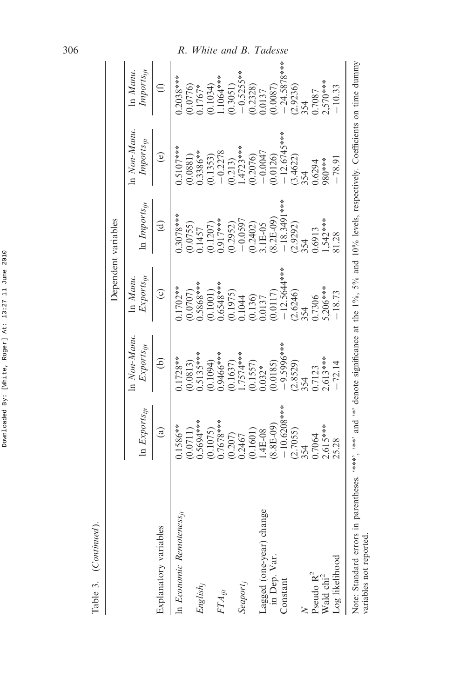| ,<br>I<br>ł<br>ł                |
|---------------------------------|
| ١<br>l<br>ׇ֖֚֚֬֕                |
| ł<br>t<br>ł<br>٠                |
| t<br>ı<br>¢<br>l<br>¢<br>١<br>ł |
| At i                            |
| ł<br>i<br>n<br>Ï<br>֚           |
| $\omega$<br>۱<br>í              |
| à<br>l<br>í<br>I                |
| l                               |

|                                         |                          |                                        |                                    | Dependent variables                   |                                            |                                           |
|-----------------------------------------|--------------------------|----------------------------------------|------------------------------------|---------------------------------------|--------------------------------------------|-------------------------------------------|
|                                         | In $Exports_{ji}$        | In Non-Manu.<br>Exports <sub>ijt</sub> | In Manu.<br>Exports <sub>ijt</sub> | $ln$ <i>Imports<sub>ijt</sub></i>     | $\ln N$ on-Manu.<br>Imports <sub>ijt</sub> | ln Manu.<br>Imports <sub>ijt</sub>        |
| Explanatory variables                   | $\widehat{\mathbf{e}}$   | $\widehat{e}$                          | $\odot$                            | $\oplus$                              | $\circledcirc$                             | $\oplus$                                  |
| $\ln$ Economic Remoteness <sub>it</sub> | 1586**                   | $0.1728**$                             | $.1702**$                          | $0.3078***$                           | $0.5107***$                                | $0.2038***$                               |
|                                         | (0.0711)                 | (0.0813)                               | (0.0707)                           | (0.0755)                              | (0.0881)                                   | 0.0776                                    |
| $English_j$                             | 1.5694****               | $0.5135***$                            | .5868***                           | 1.1457                                | $0.3386**$                                 | 1767*                                     |
|                                         | (0.1075)                 | (1094)                                 | (0.1001)                           | (0.1207)                              | (0.1353)                                   | 0.1034)                                   |
| $FTA_{ijt}$                             | ***81921                 | ***9466.                               | $-6548***$                         | $0.917***$                            | $-0.2278$                                  | $-1064***$                                |
|                                         | (0.207)                  | 0.1637                                 | (0.1975)                           | (0.2952)                              | (0.213)                                    | 0.3051)                                   |
| $Seaport_j$                             | 1.2467                   | .7574***                               | 1044                               | $-0.0597$                             | $.4723***$                                 |                                           |
|                                         | 0.1601                   | (0.1557)                               | 0.136                              | (0.2402)                              | $(0.2076)$<br>$-0.0047$<br>$(0.0126)$      | $-0.5255**$<br>(0.2328)                   |
| -agged (one-year) change                |                          | $0.032*$                               | 1.0137                             | $3.1E-05$<br>(8.2E-09)<br>-18.3491*** |                                            | 0.0137                                    |
| in Dep. Var.                            | $1.4E-08$<br>$(8.8E-09)$ |                                        |                                    |                                       |                                            |                                           |
| Constant                                | $-10.6208***$            |                                        | $(0.0117)$<br>-12.5644***          |                                       | $-12.6745***$                              |                                           |
|                                         | (2.7055)                 | $(0.0185)$<br>-9.5996***<br>(2.8529)   | (2.6246)                           | 2.9292)                               | (3.4622)                                   | $(0.0087)$<br>$-24.5878***$<br>$(2.9236)$ |
|                                         |                          | 54                                     |                                    |                                       | 54                                         | \$54                                      |
| Pseudo $\mathbf{R}^2$ Wald chi $^2$     | 1.7064                   | 0.7123                                 | 1.7306                             | 0.6913                                | 0.6294                                     | 1.7087                                    |
|                                         | $2,615***$               | $2,613***$                             | $.206***$                          | $542***$                              | ***086                                     | $570***$                                  |
| Log likelihood                          | 25.28                    | $-72.14$                               | $-18.73$                           | 81.28                                 | $-78.91$                                   | $-10.33$                                  |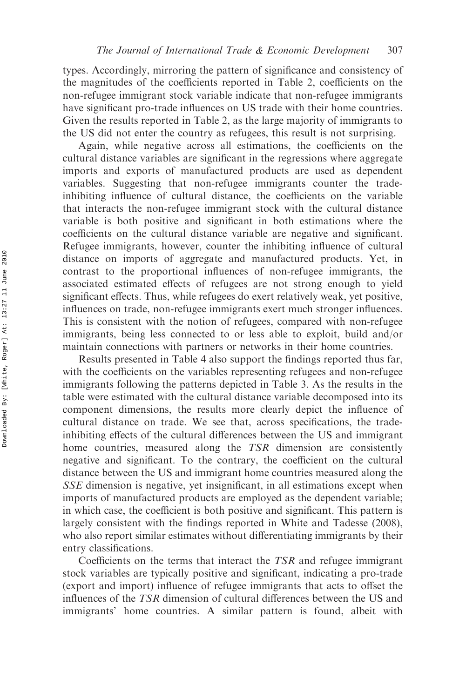types. Accordingly, mirroring the pattern of significance and consistency of the magnitudes of the coefficients reported in Table 2, coefficients on the non-refugee immigrant stock variable indicate that non-refugee immigrants have significant pro-trade influences on US trade with their home countries. Given the results reported in Table 2, as the large majority of immigrants to the US did not enter the country as refugees, this result is not surprising.

Again, while negative across all estimations, the coefficients on the cultural distance variables are significant in the regressions where aggregate imports and exports of manufactured products are used as dependent variables. Suggesting that non-refugee immigrants counter the tradeinhibiting influence of cultural distance, the coefficients on the variable that interacts the non-refugee immigrant stock with the cultural distance variable is both positive and significant in both estimations where the coefficients on the cultural distance variable are negative and significant. Refugee immigrants, however, counter the inhibiting influence of cultural distance on imports of aggregate and manufactured products. Yet, in contrast to the proportional influences of non-refugee immigrants, the associated estimated effects of refugees are not strong enough to yield significant effects. Thus, while refugees do exert relatively weak, yet positive, influences on trade, non-refugee immigrants exert much stronger influences. This is consistent with the notion of refugees, compared with non-refugee immigrants, being less connected to or less able to exploit, build and/or maintain connections with partners or networks in their home countries.

Results presented in Table 4 also support the findings reported thus far, with the coefficients on the variables representing refugees and non-refugee immigrants following the patterns depicted in Table 3. As the results in the table were estimated with the cultural distance variable decomposed into its component dimensions, the results more clearly depict the influence of cultural distance on trade. We see that, across specifications, the tradeinhibiting effects of the cultural differences between the US and immigrant home countries, measured along the TSR dimension are consistently negative and significant. To the contrary, the coefficient on the cultural distance between the US and immigrant home countries measured along the SSE dimension is negative, yet insignificant, in all estimations except when imports of manufactured products are employed as the dependent variable; in which case, the coefficient is both positive and significant. This pattern is largely consistent with the findings reported in White and Tadesse (2008), who also report similar estimates without differentiating immigrants by their entry classifications.

Coefficients on the terms that interact the TSR and refugee immigrant stock variables are typically positive and significant, indicating a pro-trade (export and import) influence of refugee immigrants that acts to offset the influences of the TSR dimension of cultural differences between the US and immigrants' home countries. A similar pattern is found, albeit with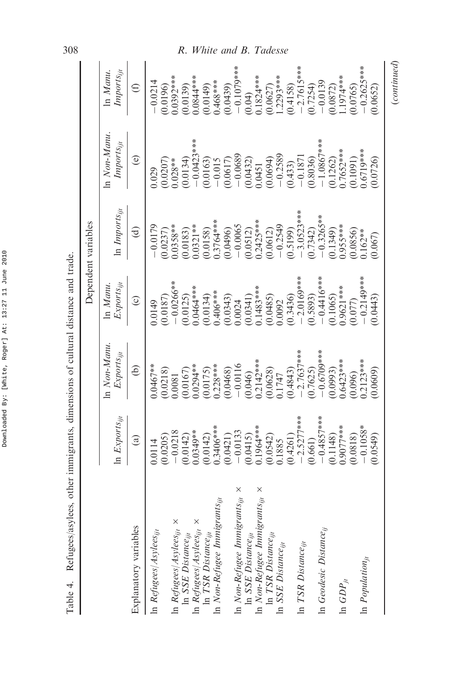| ۶<br>٢<br>٣<br>¢<br>¢           |
|---------------------------------|
| j<br>ł<br>ı<br>l<br>ŝ           |
| ł<br>ę<br>٠                     |
| t<br>ı<br>¢<br>¢<br>١<br>4<br>t |
| $\lambda t$                     |
| ÷<br>ł<br>n<br>ł                |
| $\omega$<br>$\overline{a}$<br>ı |
| .<br>ሳ<br>i                     |
| I<br>ł<br>I                     |

Table 4. Refugees/asylees, other immigrants, dimensions of cultural distance and trade. Table 4. Refugees/asylees, other immigrants, dimensions of cultural distance and trade.

|                                                                                    |                           |                                                            |                                                                                                                                                               | Dependent variables                                                                 |                                                                                                                                            |                                                                                                                     |
|------------------------------------------------------------------------------------|---------------------------|------------------------------------------------------------|---------------------------------------------------------------------------------------------------------------------------------------------------------------|-------------------------------------------------------------------------------------|--------------------------------------------------------------------------------------------------------------------------------------------|---------------------------------------------------------------------------------------------------------------------|
|                                                                                    | $n$ Exports <sub>ij</sub> | In Non-Manu.<br>Exports <sub>ijt</sub>                     | $Exports_{iii}$<br>In Manu.                                                                                                                                   | n Imports <sub>ijt</sub>                                                            | In Non-Manu.<br>Imports <sub>ijt</sub>                                                                                                     | ln Manu.<br>Imports <sub>in</sub>                                                                                   |
| Explanatory variables                                                              | $\widehat{a}$             | ව                                                          | $\odot$                                                                                                                                                       | $\widehat{\mathbf{e}}$                                                              | $\circledcirc$                                                                                                                             | $\oplus$                                                                                                            |
| $\ln$ Refugees/Asylees <sub>iji</sub>                                              | 0.0114                    | $0.0467**$<br>0.0218)                                      | 0.0149                                                                                                                                                        | $-0.0179$<br>0.0237                                                                 | 0.0207<br>0.29                                                                                                                             | $-0.0214$<br>(0.0196)                                                                                               |
| $\times$<br>$\ln$ Refugees/Asylees <sub>ij</sub><br>In SSE Distance <sub>ijt</sub> | $(0.0205)$<br>-0.0218     | 1,0081                                                     | $(0.0187)$<br>$-0.0266**$                                                                                                                                     | $.0358**$                                                                           | $0.028**$                                                                                                                                  | $0.0392***$                                                                                                         |
| $\times$<br>$\ln$ Refugees/Asylees <sub>iji</sub>                                  | $(0.0142)$<br>$0.0349**$  | $0.0167$<br>$0.0294**$                                     | $(0.0125)$<br>$0.0464***$                                                                                                                                     | $\begin{array}{c} (0.0183) \\ 0.0321** \end{array}$                                 | $(0.0134)$<br>-0.0423***                                                                                                                   | $(0.0139)$<br>$0.0844***$                                                                                           |
| In TSR Distance <sub>ijt</sub>                                                     | $(0.0142)$<br>0.3406***   | $(0.0175)$<br>$0.228***$                                   | $(0.0134)$<br>0.406***                                                                                                                                        | $\binom{0.0158}{0.3764***}$                                                         |                                                                                                                                            | $(0.0149)$<br>0.468***                                                                                              |
| igrants <sub>ii</sub><br>In $Non\mbox{-}Refugee$ $\mbox{\emph{Inm}}$               | (0.0421)                  | 0.0468)                                                    |                                                                                                                                                               | (0.0496)                                                                            | $\begin{array}{l} (0.0163) \\ -0.015 \\ -0.0617 \\ -0.0639 \\ -0.0689 \\ -0.0432) \\ -0.0432 \\ -0.0694 \\ -0.2589 \\ -0.2589 \end{array}$ | (6540.0, 0)                                                                                                         |
| igrants <sub>iit</sub> ×<br>In Non-Refugee Imm:<br>In SSE Distance <sub>ijt</sub>  | $-0.0133$                 | $-0.0116$                                                  | $\begin{array}{l} (0.0343) \ 0.0024 \ (0.0341) \ 0.1483*** \ 0.1483*** \end{array}$<br>$\begin{array}{l} (0.0341) \ (0.0485) \ (0.0485) \ 0.0092 \end{array}$ | $-0.0065$<br>(0.0512)<br>0.2425***                                                  |                                                                                                                                            | $-0.1079***$                                                                                                        |
|                                                                                    | (0.0415)                  |                                                            |                                                                                                                                                               |                                                                                     |                                                                                                                                            |                                                                                                                     |
| $i$ grants <sub>iji</sub> $\times$                                                 | $.1964***$                |                                                            |                                                                                                                                                               |                                                                                     |                                                                                                                                            |                                                                                                                     |
| In Non-Refugee Immi<br>In TSR Distance <sub>iji</sub>                              | (0.0542)                  | $(0.046)$<br>$0.2142***$<br>$(0.0628)$<br>$0.1747$         |                                                                                                                                                               | $(0.0612)$<br>-0.2549                                                               |                                                                                                                                            | $\begin{array}{l} (0.04) \\ 0.1824*** \\ (0.1824*** \\ (0.0627) \\ 1.2293*** \\ (0.4158) \\ -2.7615*** \end{array}$ |
| In SSE Distance $_{ijt}$                                                           | .1885                     |                                                            |                                                                                                                                                               |                                                                                     |                                                                                                                                            |                                                                                                                     |
|                                                                                    |                           |                                                            | $(0.3436)$<br>-2.0169***                                                                                                                                      |                                                                                     | $\begin{array}{c} (0.433) \\ -0.1871 \end{array}$                                                                                          |                                                                                                                     |
| In TSR Distance <sub>ijt</sub>                                                     | $(0.4261)$<br>-2.5277***  | $(0.4843)$<br>$- 2.7637***$<br>$(0.7625)$<br>$- 0.6709***$ |                                                                                                                                                               | $(0.5199)$<br>$-3.0523***$<br>$(0.7342)$<br>$-0.3265**$<br>$(0.1349)$<br>$(0.1365)$ |                                                                                                                                            |                                                                                                                     |
|                                                                                    | 0.661)                    |                                                            | $(0.5893)$<br>-0.4416***                                                                                                                                      |                                                                                     | $(0.8036)$<br>-1.0867***                                                                                                                   | $(0.7254)$<br>-0.0139                                                                                               |
| In Geodesic Distance $_{ij}$                                                       | $-0.4857$ ***             |                                                            |                                                                                                                                                               |                                                                                     |                                                                                                                                            |                                                                                                                     |
|                                                                                    | 0.1148                    | (0.0993)                                                   | $(0.1065)$<br>1.9621***                                                                                                                                       |                                                                                     | (0.1262)                                                                                                                                   | $(0.0872)$<br>1.1974***                                                                                             |
| In $GDP_{it}$                                                                      | $.9077***$                | $.6423***$                                                 |                                                                                                                                                               |                                                                                     | $1.7652***$                                                                                                                                |                                                                                                                     |
|                                                                                    | 0.0818)                   | 0.096                                                      | 0.077)                                                                                                                                                        | 0.0856                                                                              | 0.1091                                                                                                                                     | (0.0765)                                                                                                            |
| In Population <sub>jt</sub>                                                        | $-0.1058*$                | $0.2123***$                                                | $-0.2149***$                                                                                                                                                  | $0.162**$                                                                           | $0.6719***$                                                                                                                                | $-0.2625***$                                                                                                        |
|                                                                                    | (0.0549)                  | (0.0609)                                                   | 0.0443                                                                                                                                                        | 0.067                                                                               | 0.0726)                                                                                                                                    | (0.0652)                                                                                                            |

# 308 R. White and B. Tadesse

(continued)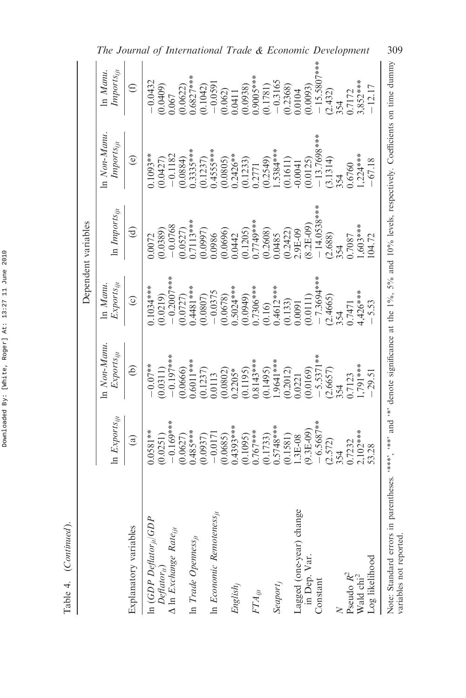| 2010                |  |
|---------------------|--|
| une<br>į            |  |
| Í<br>$\overline{1}$ |  |
| At: 13:27           |  |
|                     |  |
| ĭ                   |  |
| [White,             |  |
|                     |  |
|                     |  |
| ownloaded           |  |
|                     |  |
|                     |  |
|                     |  |
|                     |  |

Table 4. (Continued). Table 4. (Continued).

|                                                                                                                                                                              |                                                                |                                                                                                                      |                                                                                                                    | Dependent variables                    |                                                                                                                   |                                                                                                                            |
|------------------------------------------------------------------------------------------------------------------------------------------------------------------------------|----------------------------------------------------------------|----------------------------------------------------------------------------------------------------------------------|--------------------------------------------------------------------------------------------------------------------|----------------------------------------|-------------------------------------------------------------------------------------------------------------------|----------------------------------------------------------------------------------------------------------------------------|
|                                                                                                                                                                              | $n$ Exports <sub>in</sub>                                      | n Non-Manu.<br>Exports <sub>ijt</sub>                                                                                | In Manu.<br>Exports <sub>ijt</sub>                                                                                 | $ln$ Imports <sub>ijt</sub>            | in Non-Manu.<br>Imports <sub>ijt</sub>                                                                            | In Manu.<br>Imports <sub>in</sub>                                                                                          |
| Explanatory variables                                                                                                                                                        | $\widehat{a}$                                                  | $\widehat{e}$                                                                                                        | $\odot$                                                                                                            | $\widehat{\mathbf{c}}$                 | $\circledcirc$                                                                                                    | $\oplus$                                                                                                                   |
| In (GDP Deflator <sub>it</sub> /GDP<br>Deflator <sub>it</sub> )<br>A In Exchange Rate <sub>it</sub>                                                                          | $0.0581**$                                                     | $0.07**$                                                                                                             | $.1034***$                                                                                                         | 1.0072                                 | $0.1093**$                                                                                                        | $-0.0432$                                                                                                                  |
|                                                                                                                                                                              |                                                                |                                                                                                                      |                                                                                                                    |                                        |                                                                                                                   | (6040.0)                                                                                                                   |
|                                                                                                                                                                              | $(0.0251)$<br>-0.169***                                        | $(0.0311)$<br>-0.197***                                                                                              | $(0.0219)$<br>-0.2007***                                                                                           | $(0.0389)$<br>-0.0768                  | $(0.0427)$<br>-0.1182                                                                                             | 1.067                                                                                                                      |
|                                                                                                                                                                              | $(0.0627)$<br>0.485***                                         | $(0.0666)$<br>$0.0011***$                                                                                            | $(0.0727)$<br>0.4481***                                                                                            | $(0.0527)$<br>0.7113***                | $(0.0884)$<br>0.3335***                                                                                           |                                                                                                                            |
| In Trade Openness <sub>jt</sub>                                                                                                                                              |                                                                |                                                                                                                      |                                                                                                                    |                                        |                                                                                                                   | $\frac{(0.0622)}{0.6827}$ **                                                                                               |
|                                                                                                                                                                              | $(0.0937)$<br>-0.0171                                          | $\begin{array}{c} (0.1237) \\ 0.0113 \end{array}$                                                                    |                                                                                                                    | $(0.0997)$<br>0.0986                   | $(0.1237)$<br>0.4555***                                                                                           | 0.1042)                                                                                                                    |
| In Economic Remoteness <sub>jt</sub>                                                                                                                                         |                                                                |                                                                                                                      | $(0.0807)$<br>-0.0375                                                                                              |                                        |                                                                                                                   |                                                                                                                            |
|                                                                                                                                                                              | $(0.0685)$<br>0.4393***<br>(0.1095)<br>0.767***                | $(0.0802) \n0.2205* \n0.1195) \n0.8143*** \n0.8143*** \n0.9641*** \n0.90121 \n0.0221 \n0.0169) \n0.0169 \n-5.5371**$ | $\begin{array}{l} (0.0678) \\ 0.5024*** \\ (0.0949) \\ (0.7306*** \\ 0.7306*** \\ (0.16) \\ 0.4612*** \end{array}$ | (0.0696)                               | $\begin{array}{c} (0.0805) \\ 0.2426** \\ (0.1233) \\ 0.2771 \\ (0.2549) \\ (0.2549)*** \\ 1.5384*** \end{array}$ | $\begin{array}{r}\n -0.0591 \\  0.062\n \end{array}$<br>0.0411                                                             |
| $English_j$                                                                                                                                                                  |                                                                |                                                                                                                      |                                                                                                                    | 1.0442                                 |                                                                                                                   |                                                                                                                            |
|                                                                                                                                                                              |                                                                |                                                                                                                      |                                                                                                                    |                                        |                                                                                                                   |                                                                                                                            |
| $FTA_{\it ji}$                                                                                                                                                               |                                                                |                                                                                                                      |                                                                                                                    | $(0.1205)$<br>$0.7749***$              |                                                                                                                   |                                                                                                                            |
|                                                                                                                                                                              | $(0.1733)$<br>$0.5748***$                                      |                                                                                                                      |                                                                                                                    | $(0.2608)$<br>$0.0485$                 |                                                                                                                   |                                                                                                                            |
| $Seaport_j$                                                                                                                                                                  |                                                                |                                                                                                                      |                                                                                                                    |                                        |                                                                                                                   |                                                                                                                            |
|                                                                                                                                                                              | $\begin{array}{c} (0.1581) \\ 1.3E-08 \\ 9.3E-09) \end{array}$ |                                                                                                                      | $(0.133)$<br>$0.0091$                                                                                              | $(0.2422)$<br>$2.9E-09$<br>$(8.2E-09)$ | $\begin{array}{c} (0.1611) \\ 0.0041 \end{array}$                                                                 |                                                                                                                            |
| Lagged (one-year) change                                                                                                                                                     |                                                                |                                                                                                                      |                                                                                                                    |                                        |                                                                                                                   |                                                                                                                            |
| in Dep. Var.                                                                                                                                                                 |                                                                |                                                                                                                      |                                                                                                                    |                                        |                                                                                                                   |                                                                                                                            |
| Constant                                                                                                                                                                     | $-6.5687**$                                                    |                                                                                                                      |                                                                                                                    | $-14.0538***$                          |                                                                                                                   |                                                                                                                            |
|                                                                                                                                                                              | $2.572$ )<br>$54$                                              | (2.6657)                                                                                                             | $(0.0111)$<br>-7.3694***<br>(2.4665)                                                                               | 2.688                                  | $(0.0125)$<br>-13.7698***<br>(3.1314)<br>354                                                                      | $(0.0938)$<br>$0.9005***$<br>$0.1781$<br>$-0.3165$<br>$-0.3165$<br>$-0.3165$<br>$-1.5.5807*$<br>$-15.5807*$<br>$-15.5807*$ |
|                                                                                                                                                                              |                                                                |                                                                                                                      |                                                                                                                    |                                        |                                                                                                                   |                                                                                                                            |
| Pseudo $R^2$ Wald chi $^2$                                                                                                                                                   | 1.7232                                                         | 0.7123                                                                                                               | 1,7471                                                                                                             | 1.7087                                 | 1.6760                                                                                                            | 1.7172                                                                                                                     |
|                                                                                                                                                                              | $,102***$                                                      | $1,791***$                                                                                                           | $1,426***$                                                                                                         |                                        | $.224***$                                                                                                         | $,852***$                                                                                                                  |
| Log likelihood                                                                                                                                                               | 5.28                                                           | 29.51                                                                                                                | 5.53                                                                                                               | $.603***$<br>04.72                     | $-67.18$                                                                                                          | $-12.17$                                                                                                                   |
| Note: Standard errors in parentheses. ****, *** and ** denote significance at the 1%, 5% and 10% levels, respectively. Coefficients on time dummy<br>variables not reported. |                                                                |                                                                                                                      |                                                                                                                    |                                        |                                                                                                                   |                                                                                                                            |

The Journal of International Trade & Economic Development 309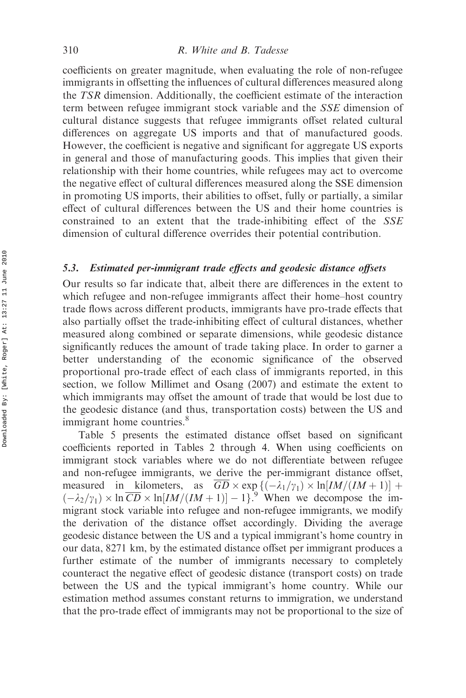coefficients on greater magnitude, when evaluating the role of non-refugee immigrants in offsetting the influences of cultural differences measured along the TSR dimension. Additionally, the coefficient estimate of the interaction term between refugee immigrant stock variable and the SSE dimension of cultural distance suggests that refugee immigrants offset related cultural differences on aggregate US imports and that of manufactured goods. However, the coefficient is negative and significant for aggregate US exports in general and those of manufacturing goods. This implies that given their relationship with their home countries, while refugees may act to overcome the negative effect of cultural differences measured along the SSE dimension in promoting US imports, their abilities to offset, fully or partially, a similar effect of cultural differences between the US and their home countries is constrained to an extent that the trade-inhibiting effect of the SSE dimension of cultural difference overrides their potential contribution.

#### 5.3. Estimated per-immigrant trade effects and geodesic distance offsets

Our results so far indicate that, albeit there are differences in the extent to which refugee and non-refugee immigrants affect their home–host country trade flows across different products, immigrants have pro-trade effects that also partially offset the trade-inhibiting effect of cultural distances, whether measured along combined or separate dimensions, while geodesic distance significantly reduces the amount of trade taking place. In order to garner a better understanding of the economic significance of the observed proportional pro-trade effect of each class of immigrants reported, in this section, we follow Millimet and Osang (2007) and estimate the extent to which immigrants may offset the amount of trade that would be lost due to the geodesic distance (and thus, transportation costs) between the US and immigrant home countries.<sup>8</sup>

Table 5 presents the estimated distance offset based on significant coefficients reported in Tables 2 through 4. When using coefficients on immigrant stock variables where we do not differentiate between refugee and non-refugee immigrants, we derive the per-immigrant distance offset, measured in kilometers,  $\times$  exp  $\{(-\lambda_1/\gamma_1)\times \ln[IM/(IM+1)]+\}$  $\left(-\lambda_2/\gamma_1\right) \times \ln \overline{CD} \times \ln [IM/(IM+1)] - 1$ <sup>9</sup> When we decompose the immigrant stock variable into refugee and non-refugee immigrants, we modify the derivation of the distance offset accordingly. Dividing the average geodesic distance between the US and a typical immigrant's home country in our data, 8271 km, by the estimated distance offset per immigrant produces a further estimate of the number of immigrants necessary to completely counteract the negative effect of geodesic distance (transport costs) on trade between the US and the typical immigrant's home country. While our estimation method assumes constant returns to immigration, we understand that the pro-trade effect of immigrants may not be proportional to the size of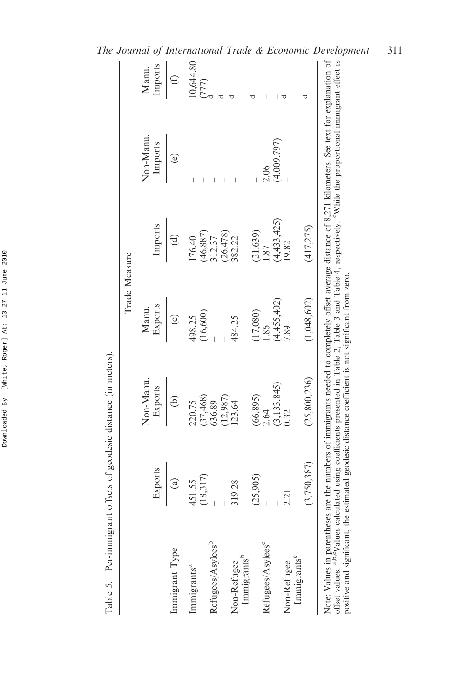|                                        |                |                      | Trade Measure    |                        |                        |                 |
|----------------------------------------|----------------|----------------------|------------------|------------------------|------------------------|-----------------|
|                                        | Exports        | Non-Manu.<br>Exports | Exports<br>Manu. | Imports                | Non-Manu.<br>Imports   | mports<br>Manu. |
| Immigrant Type                         | $\binom{a}{b}$ | $\odot$              | $\odot$          | $\widehat{\mathbf{c}}$ | $\widehat{\mathbf{e}}$ |                 |
| Immigrants <sup>a</sup>                | 451.55         | 220.75               | 498.25           | 76.40                  |                        | 10,644.80       |
|                                        | (18,317)       | (37, 468)            | (16, 600)        | $(46, 887)$<br>312.37  |                        | (777)           |
| Refugees/Asylees <sup>b</sup>          |                | 12,987)<br>636.89    |                  | (26, 478)              |                        |                 |
| Immigrants <sup>b</sup><br>Non-Refugee | 319.28         | 123.64               | 484.25           | 82.22                  |                        |                 |
|                                        | (25,905)       | (66, 895)            | (17,080)         | (21, 639)              |                        |                 |
| Refugees/Asylees <sup>c</sup>          |                | 2.64                 | 1.86             | .87                    | 2.06                   |                 |
|                                        |                | (3, 133, 845)        | (4,455,402)      | (4, 433, 425)          | (4,009,797)            |                 |
| Immigrants<br>Non-Refugee              | 2.21           | .32                  | 7.89             | 19.82                  |                        |                 |
|                                        | (3,750,387)    | (25, 800, 236)       | (1,048,602)      | (417, 275)             |                        |                 |

| $\frac{1}{2}$<br>a monorinonal immonitation<br>x 271 kilometers. See text for explanation<br>$\frac{1}{2}$<br>5<br>;                                                                                                        |                                                                               |
|-----------------------------------------------------------------------------------------------------------------------------------------------------------------------------------------------------------------------------|-------------------------------------------------------------------------------|
| 'y offset average distance of<br>is presented in Table 2. Table 3 and Table 4, respective<br>lad to commatal<br>rineses are the numbers of immigrants need<br>res Calculated instructor controller<br>l<br>ì<br>I<br>ł<br>Š | at, the estimated geodesic distance coefficient is not significant from zero. |
|                                                                                                                                                                                                                             |                                                                               |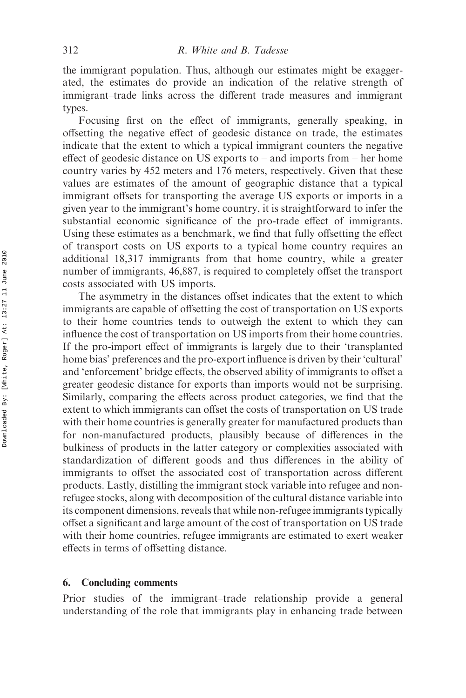the immigrant population. Thus, although our estimates might be exaggerated, the estimates do provide an indication of the relative strength of immigrant–trade links across the different trade measures and immigrant types.

Focusing first on the effect of immigrants, generally speaking, in offsetting the negative effect of geodesic distance on trade, the estimates indicate that the extent to which a typical immigrant counters the negative effect of geodesic distance on US exports to – and imports from – her home country varies by 452 meters and 176 meters, respectively. Given that these values are estimates of the amount of geographic distance that a typical immigrant offsets for transporting the average US exports or imports in a given year to the immigrant's home country, it is straightforward to infer the substantial economic significance of the pro-trade effect of immigrants. Using these estimates as a benchmark, we find that fully offsetting the effect of transport costs on US exports to a typical home country requires an additional 18,317 immigrants from that home country, while a greater number of immigrants, 46,887, is required to completely offset the transport costs associated with US imports.

The asymmetry in the distances offset indicates that the extent to which immigrants are capable of offsetting the cost of transportation on US exports to their home countries tends to outweigh the extent to which they can influence the cost of transportation on US imports from their home countries. If the pro-import effect of immigrants is largely due to their 'transplanted home bias' preferences and the pro-export influence is driven by their 'cultural' and 'enforcement' bridge effects, the observed ability of immigrants to offset a greater geodesic distance for exports than imports would not be surprising. Similarly, comparing the effects across product categories, we find that the extent to which immigrants can offset the costs of transportation on US trade with their home countries is generally greater for manufactured products than for non-manufactured products, plausibly because of differences in the bulkiness of products in the latter category or complexities associated with standardization of different goods and thus differences in the ability of immigrants to offset the associated cost of transportation across different products. Lastly, distilling the immigrant stock variable into refugee and nonrefugee stocks, along with decomposition of the cultural distance variable into its component dimensions, reveals that while non-refugee immigrants typically offset a significant and large amount of the cost of transportation on US trade with their home countries, refugee immigrants are estimated to exert weaker effects in terms of offsetting distance.

#### 6. Concluding comments

Prior studies of the immigrant–trade relationship provide a general understanding of the role that immigrants play in enhancing trade between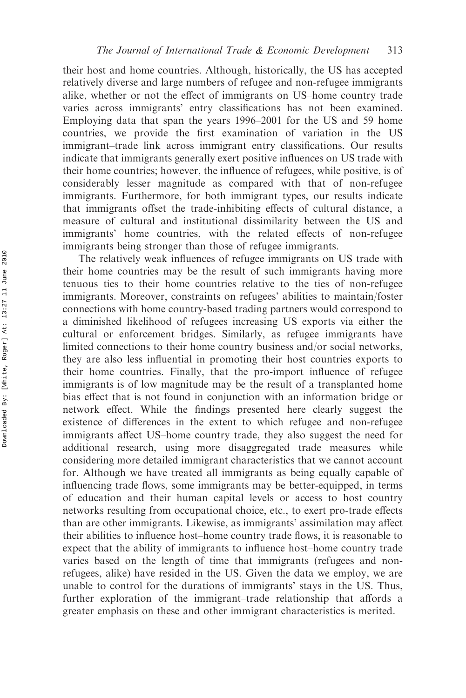their host and home countries. Although, historically, the US has accepted relatively diverse and large numbers of refugee and non-refugee immigrants alike, whether or not the effect of immigrants on US–home country trade varies across immigrants' entry classifications has not been examined. Employing data that span the years 1996–2001 for the US and 59 home countries, we provide the first examination of variation in the US immigrant–trade link across immigrant entry classifications. Our results indicate that immigrants generally exert positive influences on US trade with their home countries; however, the influence of refugees, while positive, is of considerably lesser magnitude as compared with that of non-refugee immigrants. Furthermore, for both immigrant types, our results indicate that immigrants offset the trade-inhibiting effects of cultural distance, a measure of cultural and institutional dissimilarity between the US and immigrants' home countries, with the related effects of non-refugee immigrants being stronger than those of refugee immigrants.

The relatively weak influences of refugee immigrants on US trade with their home countries may be the result of such immigrants having more tenuous ties to their home countries relative to the ties of non-refugee immigrants. Moreover, constraints on refugees' abilities to maintain/foster connections with home country-based trading partners would correspond to a diminished likelihood of refugees increasing US exports via either the cultural or enforcement bridges. Similarly, as refugee immigrants have limited connections to their home country business and/or social networks, they are also less influential in promoting their host countries exports to their home countries. Finally, that the pro-import influence of refugee immigrants is of low magnitude may be the result of a transplanted home bias effect that is not found in conjunction with an information bridge or network effect. While the findings presented here clearly suggest the existence of differences in the extent to which refugee and non-refugee immigrants affect US–home country trade, they also suggest the need for additional research, using more disaggregated trade measures while considering more detailed immigrant characteristics that we cannot account for. Although we have treated all immigrants as being equally capable of influencing trade flows, some immigrants may be better-equipped, in terms of education and their human capital levels or access to host country networks resulting from occupational choice, etc., to exert pro-trade effects than are other immigrants. Likewise, as immigrants' assimilation may affect their abilities to influence host–home country trade flows, it is reasonable to expect that the ability of immigrants to influence host–home country trade varies based on the length of time that immigrants (refugees and nonrefugees, alike) have resided in the US. Given the data we employ, we are unable to control for the durations of immigrants' stays in the US. Thus, further exploration of the immigrant–trade relationship that affords a greater emphasis on these and other immigrant characteristics is merited.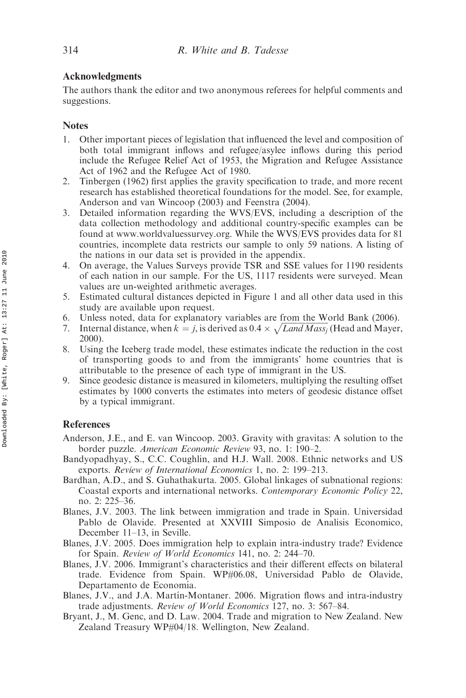#### Acknowledgments

The authors thank the editor and two anonymous referees for helpful comments and suggestions.

#### Notes

- 1. Other important pieces of legislation that influenced the level and composition of both total immigrant inflows and refugee/asylee inflows during this period include the Refugee Relief Act of 1953, the Migration and Refugee Assistance Act of 1962 and the Refugee Act of 1980.
- 2. Tinbergen (1962) first applies the gravity specification to trade, and more recent research has established theoretical foundations for the model. See, for example, Anderson and van Wincoop (2003) and Feenstra (2004).
- 3. Detailed information regarding the WVS/EVS, including a description of the data collection methodology and additional country-specific examples can be found at [www.worldvaluessurvey.org](http://www.worldvaluessurvey.org). While the WVS/EVS provides data for 81 countries, incomplete data restricts our sample to only 59 nations. A listing of the nations in our data set is provided in the appendix.
- 4. On average, the Values Surveys provide TSR and SSE values for 1190 residents of each nation in our sample. For the US, 1117 residents were surveyed. Mean values are un-weighted arithmetic averages.
- 5. Estimated cultural distances depicted in Figure 1 and all other data used in this study are available upon request.
- 6. Unless noted, data for explanatory variables are from the World Bank (2006).
- 7. Internal distance, when  $k = j$ , is derived as  $0.4 \times \sqrt{Land Mass_j}$  (Head and Mayer, 2000).
- 8. Using the Iceberg trade model, these estimates indicate the reduction in the cost of transporting goods to and from the immigrants' home countries that is attributable to the presence of each type of immigrant in the US.
- 9. Since geodesic distance is measured in kilometers, multiplying the resulting offset estimates by 1000 converts the estimates into meters of geodesic distance offset by a typical immigrant.

#### References

- Anderson, J.E., and E. van Wincoop. 2003. Gravity with gravitas: A solution to the border puzzle. American Economic Review 93, no. 1: 190–2.
- Bandyopadhyay, S., C.C. Coughlin, and H.J. Wall. 2008. Ethnic networks and US exports. Review of International Economics 1, no. 2: 199–213.
- Bardhan, A.D., and S. Guhathakurta. 2005. Global linkages of subnational regions: Coastal exports and international networks. Contemporary Economic Policy 22, no. 2: 225–36.
- Blanes, J.V. 2003. The link between immigration and trade in Spain. Universidad Pablo de Olavide. Presented at XXVIII Simposio de Analisis Economico, December 11–13, in Seville.
- Blanes, J.V. 2005. Does immigration help to explain intra-industry trade? Evidence for Spain. Review of World Economics 141, no. 2: 244–70.
- Blanes, J.V. 2006. Immigrant's characteristics and their different effects on bilateral trade. Evidence from Spain. WP#06.08, Universidad Pablo de Olavide, Departamento de Economía.
- Blanes, J.V., and J.A. Martin-Montaner. 2006. Migration flows and intra-industry trade adjustments. Review of World Economics 127, no. 3: 567–84.
- Bryant, J., M. Genc, and D. Law. 2004. Trade and migration to New Zealand. New Zealand Treasury WP#04/18. Wellington, New Zealand.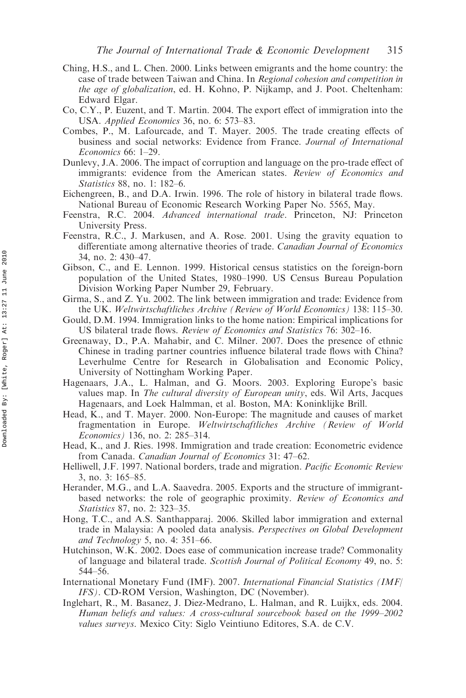- Ching, H.S., and L. Chen. 2000. Links between emigrants and the home country: the case of trade between Taiwan and China. In Regional cohesion and competition in the age of globalization, ed. H. Kohno, P. Nijkamp, and J. Poot. Cheltenham: Edward Elgar.
- Co, C.Y., P. Euzent, and T. Martin. 2004. The export effect of immigration into the USA. Applied Economics 36, no. 6: 573–83.
- Combes, P., M. Lafourcade, and T. Mayer. 2005. The trade creating effects of business and social networks: Evidence from France. Journal of International Economics 66: 1–29.
- Dunlevy, J.A. 2006. The impact of corruption and language on the pro-trade effect of immigrants: evidence from the American states. Review of Economics and Statistics 88, no. 1: 182–6.
- Eichengreen, B., and D.A. Irwin. 1996. The role of history in bilateral trade flows. National Bureau of Economic Research Working Paper No. 5565, May.
- Feenstra, R.C. 2004. Advanced international trade. Princeton, NJ: Princeton University Press.
- Feenstra, R.C., J. Markusen, and A. Rose. 2001. Using the gravity equation to differentiate among alternative theories of trade. Canadian Journal of Economics 34, no. 2: 430–47.
- Gibson, C., and E. Lennon. 1999. Historical census statistics on the foreign-born population of the United States, 1980–1990. US Census Bureau Population Division Working Paper Number 29, February.
- Girma, S., and Z. Yu. 2002. The link between immigration and trade: Evidence from the UK. Weltwirtschaftliches Archive (Review of World Economics) 138: 115–30.
- Gould, D.M. 1994. Immigration links to the home nation: Empirical implications for US bilateral trade flows. Review of Economics and Statistics 76: 302–16.
- Greenaway, D., P.A. Mahabir, and C. Milner. 2007. Does the presence of ethnic Chinese in trading partner countries influence bilateral trade flows with China? Leverhulme Centre for Research in Globalisation and Economic Policy, University of Nottingham Working Paper.
- Hagenaars, J.A., L. Halman, and G. Moors. 2003. Exploring Europe's basic values map. In The cultural diversity of European unity, eds. Wil Arts, Jacques Hagenaars, and Loek Halmman, et al. Boston, MA: Koninklijke Brill.
- Head, K., and T. Mayer. 2000. Non-Europe: The magnitude and causes of market fragmentation in Europe. Weltwirtschaftliches Archive (Review of World Economics) 136, no. 2: 285–314.
- Head, K., and J. Ries. 1998. Immigration and trade creation: Econometric evidence from Canada. Canadian Journal of Economics 31: 47-62.
- Helliwell, J.F. 1997. National borders, trade and migration. Pacific Economic Review 3, no. 3: 165–85.
- Herander, M.G., and L.A. Saavedra. 2005. Exports and the structure of immigrantbased networks: the role of geographic proximity. Review of Economics and Statistics 87, no. 2: 323–35.
- Hong, T.C., and A.S. Santhapparaj. 2006. Skilled labor immigration and external trade in Malaysia: A pooled data analysis. Perspectives on Global Development and Technology 5, no. 4: 351–66.
- Hutchinson, W.K. 2002. Does ease of communication increase trade? Commonality of language and bilateral trade. Scottish Journal of Political Economy 49, no. 5: 544–56.
- International Monetary Fund (IMF). 2007. International Financial Statistics (IMF/ IFS). CD-ROM Version, Washington, DC (November).
- Inglehart, R., M. Basanez, J. Diez-Medrano, L. Halman, and R. Luijkx, eds. 2004. Human beliefs and values: A cross-cultural sourcebook based on the 1999–2002 values surveys. Mexico City: Siglo Veintiuno Editores, S.A. de C.V.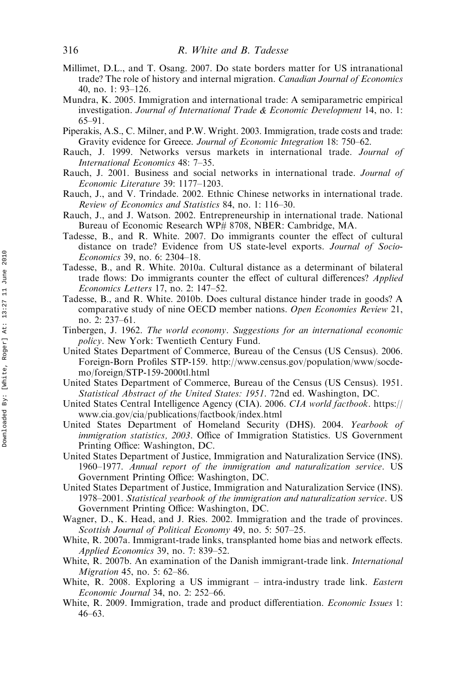- Millimet, D.L., and T. Osang. 2007. Do state borders matter for US intranational trade? The role of history and internal migration. Canadian Journal of Economics 40, no. 1: 93–126.
- Mundra, K. 2005. Immigration and international trade: A semiparametric empirical investigation. Journal of International Trade & Economic Development 14, no. 1: 65–91.
- Piperakis, A.S., C. Milner, and P.W. Wright. 2003. Immigration, trade costs and trade: Gravity evidence for Greece. Journal of Economic Integration 18: 750–62.
- Rauch, J. 1999. Networks versus markets in international trade. Journal of International Economics 48: 7–35.
- Rauch, J. 2001. Business and social networks in international trade. Journal of Economic Literature 39: 1177–1203.
- Rauch, J., and V. Trindade. 2002. Ethnic Chinese networks in international trade. Review of Economics and Statistics 84, no. 1: 116–30.
- Rauch, J., and J. Watson. 2002. Entrepreneurship in international trade. National Bureau of Economic Research WP# 8708, NBER: Cambridge, MA.
- Tadesse, B., and R. White. 2007. Do immigrants counter the effect of cultural distance on trade? Evidence from US state-level exports. Journal of Socio-Economics 39, no. 6: 2304–18.
- Tadesse, B., and R. White. 2010a. Cultural distance as a determinant of bilateral trade flows: Do immigrants counter the effect of cultural differences? Applied Economics Letters 17, no. 2: 147–52.
- Tadesse, B., and R. White. 2010b. Does cultural distance hinder trade in goods? A comparative study of nine OECD member nations. Open Economies Review 21, no. 2: 237–61.
- Tinbergen, J. 1962. The world economy. Suggestions for an international economic policy. New York: Twentieth Century Fund.
- United States Department of Commerce, Bureau of the Census (US Census). 2006. Foreign-Born Profiles STP-159. [http://www.census.gov/population/www/socde](http://www.census.gov/population/www/socdemo/foreign/STP-159-2000tl.html)[mo/foreign/STP-159-2000tl.html](http://www.census.gov/population/www/socdemo/foreign/STP-159-2000tl.html)
- United States Department of Commerce, Bureau of the Census (US Census). 1951. Statistical Abstract of the United States: 1951. 72nd ed. Washington, DC.
- United States Central Intelligence Agency (CIA). 2006. CIA world factbook. [https://](https://www.cia.gov/cia/publications/factbook/index.html) [www.cia.gov/cia/publications/factbook/index.html](https://www.cia.gov/cia/publications/factbook/index.html)
- United States Department of Homeland Security (DHS). 2004. Yearbook of immigration statistics, 2003. Office of Immigration Statistics. US Government Printing Office: Washington, DC.
- United States Department of Justice, Immigration and Naturalization Service (INS). 1960–1977. Annual report of the immigration and naturalization service. US Government Printing Office: Washington, DC.
- United States Department of Justice, Immigration and Naturalization Service (INS). 1978–2001. Statistical yearbook of the immigration and naturalization service. US Government Printing Office: Washington, DC.
- Wagner, D., K. Head, and J. Ries. 2002. Immigration and the trade of provinces. Scottish Journal of Political Economy 49, no. 5: 507–25.
- White, R. 2007a. Immigrant-trade links, transplanted home bias and network effects. Applied Economics 39, no. 7: 839–52.
- White, R. 2007b. An examination of the Danish immigrant-trade link. International Migration 45, no. 5: 62–86.
- White, R. 2008. Exploring a US immigrant intra-industry trade link. *Eastern* Economic Journal 34, no. 2: 252–66.
- White, R. 2009. Immigration, trade and product differentiation. Economic Issues 1: 46–63.